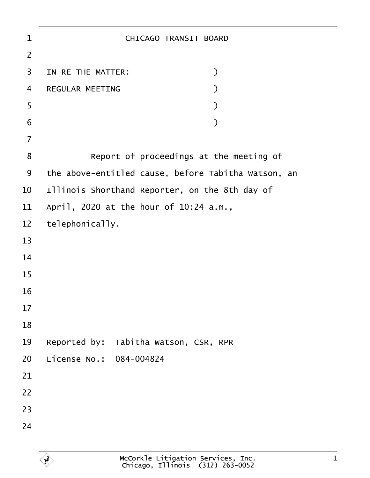| 1              | <b>CHICAGO TRANSIT BOARD</b>                        |
|----------------|-----------------------------------------------------|
| $\overline{2}$ |                                                     |
| 3              | IN RE THE MATTER:<br>)                              |
| $\overline{4}$ | <b>REGULAR MEETING</b>                              |
| 5              |                                                     |
| 6              |                                                     |
| $\overline{7}$ |                                                     |
| 8              | Report of proceedings at the meeting of             |
| 9              | the above-entitled cause, before Tabitha Watson, an |
| 10             | Illinois Shorthand Reporter, on the 8th day of      |
| 11             | April, 2020 at the hour of 10:24 a.m.,              |
| 12             | telephonically.                                     |
| 13             |                                                     |
| 14             |                                                     |
| 15             |                                                     |
| 16             |                                                     |
| 17             |                                                     |
| 18             |                                                     |
| 19             | Reported by: Tabitha Watson, CSR, RPR               |
| 20             | License No.: 084-004824                             |
| 21             |                                                     |
| 22             |                                                     |
| 23             |                                                     |
| 24             |                                                     |
|                |                                                     |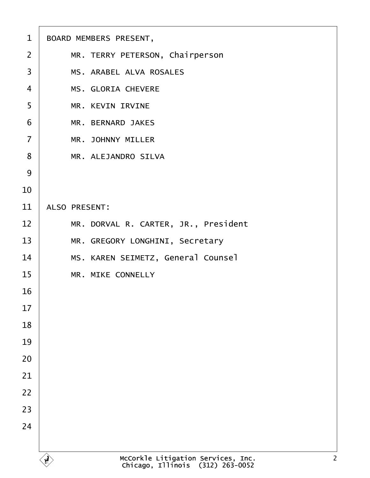| 1              | <b>BOARD MEMBERS PRESENT,</b>        |
|----------------|--------------------------------------|
| 2              | MR. TERRY PETERSON, Chairperson      |
| 3              | <b>MS. ARABEL ALVA ROSALES</b>       |
| $\overline{4}$ | <b>MS. GLORIA CHEVERE</b>            |
| 5              | <b>MR. KEVIN IRVINE</b>              |
| 6              | <b>MR. BERNARD JAKES</b>             |
| $\overline{7}$ | <b>MR. JOHNNY MILLER</b>             |
| 8              | <b>MR. ALEJANDRO SILVA</b>           |
| 9              |                                      |
| 10             |                                      |
| 11             | <b>ALSO PRESENT:</b>                 |
| 12             | MR. DORVAL R. CARTER, JR., President |
| 13             | MR. GREGORY LONGHINI, Secretary      |
| 14             | MS. KAREN SEIMETZ, General Counsel   |
| 15             | <b>MR. MIKE CONNELLY</b>             |
| 16             |                                      |
| 17             |                                      |
| 18             |                                      |
| 19             |                                      |
| 20             |                                      |
| 21             |                                      |
| 22             |                                      |
| 23             |                                      |
| 24             |                                      |
|                |                                      |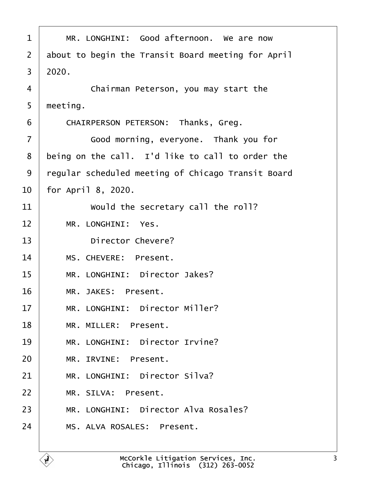<span id="page-2-0"></span>

| 1              | MR. LONGHINI: Good afternoon. We are now           |
|----------------|----------------------------------------------------|
| 2              | about to begin the Transit Board meeting for April |
| 3              | 2020.                                              |
| 4              | Chairman Peterson, you may start the               |
| 5              | meeting.                                           |
| 6              | CHAIRPERSON PETERSON: Thanks, Greg.                |
| $\overline{7}$ | Good morning, everyone. Thank you for              |
| 8              | being on the call. I'd like to call to order the   |
| 9              | regular scheduled meeting of Chicago Transit Board |
| 10             | for April 8, 2020.                                 |
| 11             | Would the secretary call the roll?                 |
| 12             | MR. LONGHINI: Yes.                                 |
| 13             | <b>Director Chevere?</b>                           |
| 14             | MS. CHEVERE: Present.                              |
| 15             | MR. LONGHINI: Director Jakes?                      |
| 16             | MR. JAKES: Present.                                |
| 17             | MR. LONGHINI: Director Miller?                     |
| 18             | MR. MILLER: Present.                               |
| 19             | MR. LONGHINI: Director Irvine?                     |
| 20             | MR. IRVINE: Present.                               |
| 21             | MR. LONGHINI: Director Silva?                      |
| 22             | MR. SILVA: Present.                                |
| 23             | MR. LONGHINI: Director Alva Rosales?               |
| 24             | MS. ALVA ROSALES: Present.                         |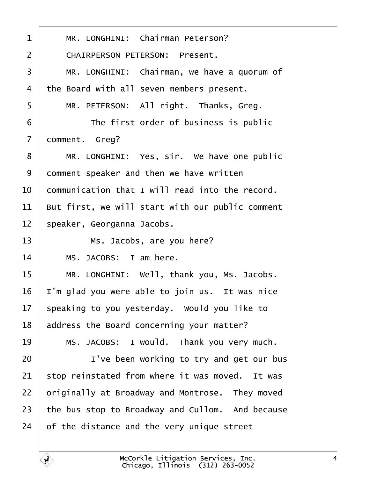<span id="page-3-0"></span>

| 1              | MR. LONGHINI: Chairman Peterson?                 |
|----------------|--------------------------------------------------|
| $\overline{2}$ | <b>CHAIRPERSON PETERSON: Present.</b>            |
| 3              | MR. LONGHINI: Chairman, we have a quorum of      |
| 4              | the Board with all seven members present.        |
| 5              | MR. PETERSON: All right. Thanks, Greg.           |
| 6              | The first order of business is public            |
| $\overline{7}$ | domment. Greg?                                   |
| 8              | MR. LONGHINI: Yes, sir. We have one public       |
| 9              | domment speaker and then we have written         |
| 10             | communication that I will read into the record.  |
| 11             | But first, we will start with our public comment |
| 12             | speaker, Georganna Jacobs.                       |
| 13             | Ms. Jacobs, are you here?                        |
| 14             | MS. JACOBS: I am here.                           |
| 15             | MR. LONGHINI: Well, thank you, Ms. Jacobs.       |
| 16             | 'm glad you were able to join us. It was nice    |
|                |                                                  |
| 17             | speaking to you yesterday. Would you like to     |
| 18             | address the Board concerning your matter?        |
| 19             | MS. JACOBS: I would. Thank you very much.        |
| 20             | I've been working to try and get our bus         |
| 21             | stop reinstated from where it was moved. It was  |
| 22             | priginally at Broadway and Montrose. They moved  |
| 23             | the bus stop to Broadway and Cullom. And because |
| 24             | of the distance and the very unique street       |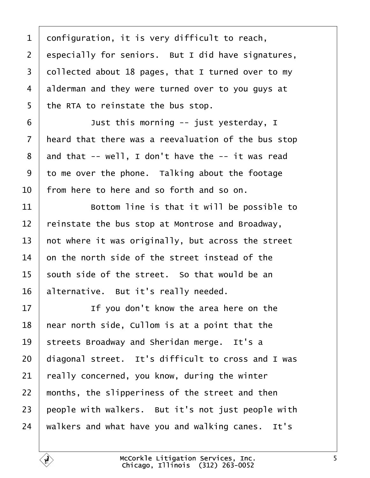<span id="page-4-0"></span>1 donfiguration, it is very difficult to reach,

2 especially for seniors. But I did have signatures,

- 3 dollected about 18 pages, that I turned over to my
- 4 alderman and they were turned over to you guys at
- 5 the RTA to reinstate the bus stop.

 $6 \mid$  Just this morning -- just yesterday, I

- 7 heard that there was a reevaluation of the bus stop
- 8 and that -- well, I don't have the -- it was read
- 9 to me over the phone. Talking about the footage
- 10 from here to here and so forth and so on.

11 **Bottom line is that it will be possible to** 

- 12 reinstate the bus stop at Montrose and Broadway,
- 13 hot where it was originally, but across the street
- 14 b on the north side of the street instead of the
- 15 south side of the street. So that would be an
- 16 alternative. But it's really needed.

 $17$  | If you don't know the area here on the 18 hear north side, Cullom is at a point that the 19 streets Broadway and Sheridan merge. It's a 20 diagonal street. It's difficult to cross and I was 21 really concerned, you know, during the winter 22 months, the slipperiness of the street and then 23 beople with walkers. But it's not just people with 24 walkers and what have you and walking canes. It's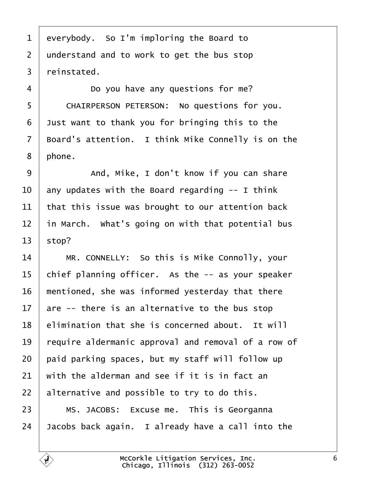- <span id="page-5-0"></span>1 everybody. So I'm imploring the Board to
- 2 understand and to work to get the bus stop
- 3 reinstated.
- $4 \mid$  Do you have any questions for me?
- 5 | CHAIRPERSON PETERSON: No questions for you.
- 6 Just want to thank you for bringing this to the
- 7 Board's attention. I think Mike Connelly is on the
- 8 phone.
- 9 | And, Mike, I don't know if you can share
- 10 any updates with the Board regarding -- I think
- 11 that this issue was brought to our attention back
- 12 in March. What's going on with that potential bus
- 13  $\frac{13}{2}$
- 14 | MR. CONNELLY: So this is Mike Connolly, your
- 15 chief planning officer. As the -- as your speaker
- 16 mentioned, she was informed yesterday that there
- 17  $\alpha$  are -- there is an alternative to the bus stop
- 18 **elimination that she is concerned about.** It will
- 19 require aldermanic approval and removal of a row of
- 20 paid parking spaces, but my staff will follow up
- 21 with the alderman and see if it is in fact an
- 22 alternative and possible to try to do this.
- 23 | MS. JACOBS: Excuse me. This is Georganna
- 24  $\sqrt{a}$  Jacobs back again. I already have a call into the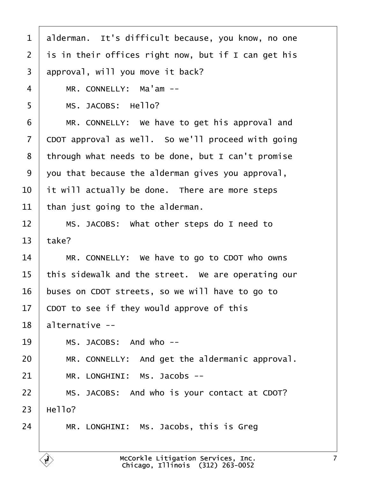<span id="page-6-0"></span>

| 1              | alderman. It's difficult because, you know, no one  |
|----------------|-----------------------------------------------------|
| 2              | is in their offices right now, but if I can get his |
| 3              | approval, will you move it back?                    |
| 4              | MR. CONNELLY: Ma'am --                              |
| 5              | MS. JACOBS: Hello?                                  |
| 6              | MR. CONNELLY: We have to get his approval and       |
| $\overline{7}$ | CDOT approval as well. So we'll proceed with going  |
| 8              | through what needs to be done, but I can't promise  |
| 9              | you that because the alderman gives you approval,   |
| 10             | it will actually be done. There are more steps      |
| 11             | than just going to the alderman.                    |
| 12             | MS. JACOBS: What other steps do I need to           |
| 13             | take?                                               |
| 14             | MR. CONNELLY: We have to go to CDOT who owns        |
| 15             | this sidewalk and the street. We are operating our  |
| 16             | buses on CDOT streets, so we will have to go to     |
| 17             | CDOT to see if they would approve of this           |
| 18             | alternative --                                      |
| 19             | MS. JACOBS: And who --                              |
| 20             | MR. CONNELLY: And get the aldermanic approval.      |
| 21             | MR. LONGHINI: Ms. Jacobs --                         |
| 22             | MS. JACOBS: And who is your contact at CDOT?        |
| 23             | Hello?                                              |
| 24             | MR. LONGHINI: Ms. Jacobs, this is Greg              |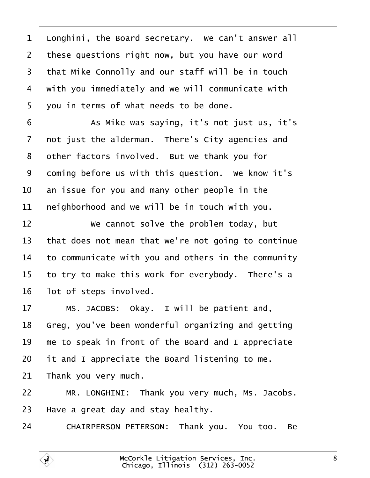<span id="page-7-0"></span>

| $\mathbf 1$    | Longhini, the Board secretary. We can't answer all  |
|----------------|-----------------------------------------------------|
| $\overline{2}$ | these questions right now, but you have our word    |
| 3              | that Mike Connolly and our staff will be in touch   |
| 4              | with you immediately and we will communicate with   |
| 5              | you in terms of what needs to be done.              |
| 6              | As Mike was saying, it's not just us, it's          |
| $\overline{7}$ | not just the alderman. There's City agencies and    |
| 8              | other factors involved. But we thank you for        |
| 9              | doming before us with this question. We know it's   |
| 10             | an issue for you and many other people in the       |
| 11             | heighborhood and we will be in touch with you.      |
| 12             | We cannot solve the problem today, but              |
| 13             | that does not mean that we're not going to continue |
| 14             | to communicate with you and others in the community |
| 15             | to try to make this work for everybody. There's a   |
| 16             | lot of steps involved.                              |
| 17             | MS. JACOBS: Okay. I will be patient and,            |
| 18             | Greg, you've been wonderful organizing and getting  |
| 19             | me to speak in front of the Board and I appreciate  |
| 20             | it and I appreciate the Board listening to me.      |
| 21             | Thank you very much.                                |
| 22             | MR. LONGHINI: Thank you very much, Ms. Jacobs.      |
| 23             | Have a great day and stay healthy.                  |
| 24             | CHAIRPERSON PETERSON: Thank you. You too. Be        |

 $\sqrt{ }$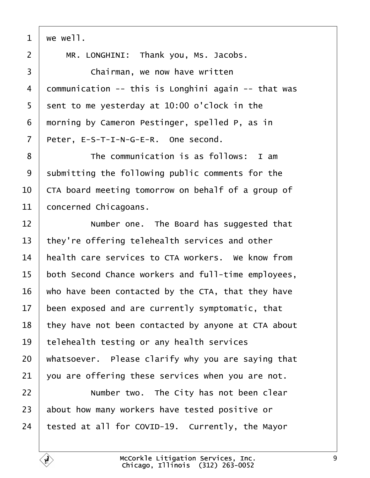<span id="page-8-0"></span>

| we well.                                               |
|--------------------------------------------------------|
| MR. LONGHINI: Thank you, Ms. Jacobs.                   |
| Chairman, we now have written                          |
| dommunication -- this is Longhini again -- that was    |
| sent to me yesterday at 10:00 o'clock in the           |
| morning by Cameron Pestinger, spelled P, as in         |
| Peter, E-S-T-I-N-G-E-R. One second.                    |
| The communication is as follows: I am                  |
| submitting the following public comments for the       |
| CTA board meeting tomorrow on behalf of a group of     |
| concerned Chicagoans.                                  |
| Number one. The Board has suggested that               |
| they're offering telehealth services and other         |
| health care services to CTA workers. We know from      |
| both Second Chance workers and full-time employees,    |
| who have been contacted by the CTA, that they have     |
| been exposed and are currently symptomatic, that<br>17 |
| they have not been contacted by anyone at CTA about    |
| telehealth testing or any health services              |
| whatsoever. Please clarify why you are saying that     |
| you are offering these services when you are not.      |
| Number two. The City has not been clear                |
| about how many workers have tested positive or         |
| tested at all for COVID-19. Currently, the Mayor       |
|                                                        |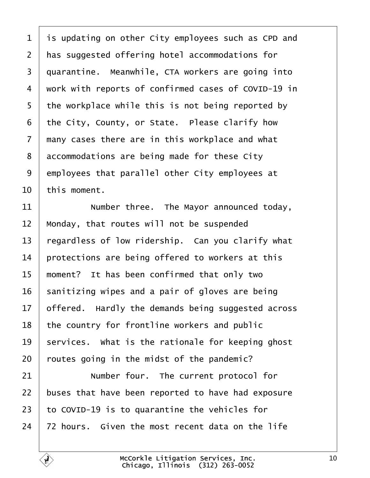<span id="page-9-0"></span>

| 1              | is updating on other City employees such as CPD and   |
|----------------|-------------------------------------------------------|
| $\overline{2}$ | has suggested offering hotel accommodations for       |
| 3              | quarantine. Meanwhile, CTA workers are going into     |
| 4              | work with reports of confirmed cases of COVID-19 in   |
| 5              | the workplace while this is not being reported by     |
| 6              | the City, County, or State. Please clarify how        |
| $\overline{7}$ | many cases there are in this workplace and what       |
| 8              | accommodations are being made for these City          |
| 9              | employees that parallel other City employees at       |
| 10             | this moment.                                          |
| 11             | Number three. The Mayor announced today,              |
| 12             | Monday, that routes will not be suspended             |
| 13             | regardless of low ridership. Can you clarify what     |
| 14             | protections are being offered to workers at this      |
| 15             | moment? It has been confirmed that only two           |
| 16             | sanitizing wipes and a pair of gloves are being       |
|                | 17 offered. Hardly the demands being suggested across |
| 18             | the country for frontline workers and public          |
| 19             | services. What is the rationale for keeping ghost     |
| 20             | routes going in the midst of the pandemic?            |
| 21             | Number four. The current protocol for                 |
| 22             | buses that have been reported to have had exposure    |
| 23             | to COVID-19 is to quarantine the vehicles for         |
| 24             | 72 hours. Given the most recent data on the life      |
|                |                                                       |

 $\sqrt{ }$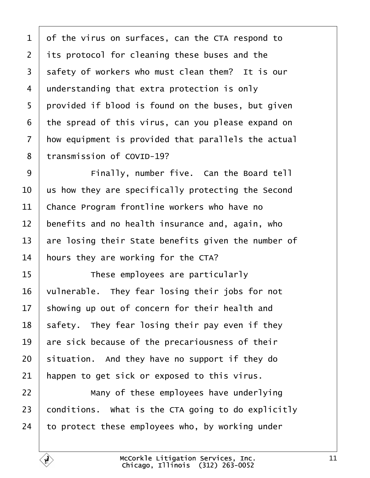<span id="page-10-0"></span>

| 1               | of the virus on surfaces, can the CTA respond to    |
|-----------------|-----------------------------------------------------|
| 2               | its protocol for cleaning these buses and the       |
| 3               | safety of workers who must clean them? It is our    |
| 4               | understanding that extra protection is only         |
| 5               | provided if blood is found on the buses, but given  |
| 6               | the spread of this virus, can you please expand on  |
| 7               | how equipment is provided that parallels the actual |
| 8               | transmission of COVID-19?                           |
| 9               | Finally, number five. Can the Board tell            |
| 10              | us how they are specifically protecting the Second  |
| 11              | Chance Program frontline workers who have no        |
| 12              | benefits and no health insurance and, again, who    |
| 13              | are losing their State benefits given the number of |
| 14              | hours they are working for the CTA?                 |
| 15              | These employees are particularly                    |
| 16              | vulnerable. They fear losing their jobs for not     |
| 17 <sup>1</sup> | showing up out of concern for their health and      |
| 18              | safety. They fear losing their pay even if they     |
| 19              | are sick because of the precariousness of their     |
| 20              | situation. And they have no support if they do      |
| 21              | happen to get sick or exposed to this virus.        |
| 22              | Many of these employees have underlying             |
| 23              | conditions. What is the CTA going to do explicitly  |
| 24              | to protect these employees who, by working under    |
|                 |                                                     |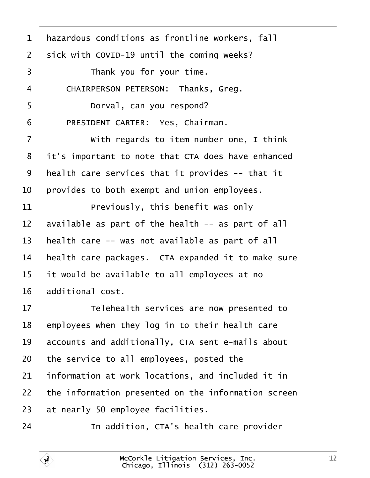<span id="page-11-0"></span>

| 1                 | hazardous conditions as frontline workers, fall     |
|-------------------|-----------------------------------------------------|
| 2                 | sick with COVID-19 until the coming weeks?          |
| 3                 | Thank you for your time.                            |
| 4                 | CHAIRPERSON PETERSON: Thanks, Greg.                 |
| 5                 | Dorval, can you respond?                            |
| 6                 | PRESIDENT CARTER: Yes, Chairman.                    |
| 7                 | With regards to item number one, I think            |
| 8                 | it's important to note that CTA does have enhanced  |
| 9                 | health care services that it provides -- that it    |
| 10                | provides to both exempt and union employees.        |
| 11                | Previously, this benefit was only                   |
| $12 \overline{ }$ | available as part of the health -- as part of all   |
| 13                | health care -- was not available as part of all     |
| 14                | health care packages. CTA expanded it to make sure  |
| 15                | it would be available to all employees at no        |
| 16                | additional cost.                                    |
| 17                | Telehealth services are now presented to            |
| 18                | employees when they log in to their health care     |
| 19                | accounts and additionally, CTA sent e-mails about   |
| 20                | the service to all employees, posted the            |
| 21                | information at work locations, and included it in   |
| 22                | the information presented on the information screen |
| 23                | at nearly 50 employee facilities.                   |
| 24                | In addition, CTA's health care provider             |
|                   |                                                     |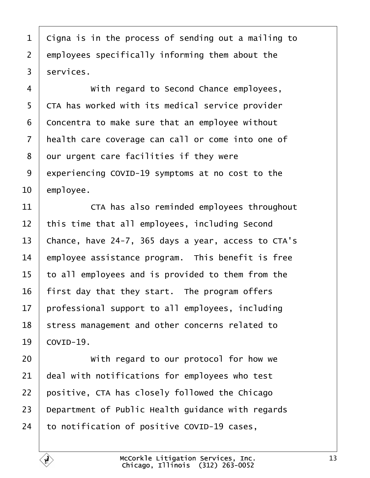<span id="page-12-0"></span>1 Cigna is in the process of sending out a mailing to 2 employees specifically informing them about the 3 services. 4 • With regard to Second Chance employees, 5 CTA has worked with its medical service provider 6 Concentra to make sure that an employee without 7 health care coverage can call or come into one of 8 dur urgent care facilities if they were 9 experiencing COVID-19 symptoms at no cost to the 10 employee. 11 **CTA** has also reminded employees throughout 12 this time that all employees, including Second 13 Chance, have 24-7, 365 days a year, access to CTA's 14 employee assistance program. This benefit is free 15 to all employees and is provided to them from the 16 first day that they start. The program offers 17 professional support to all employees, including 18 stress management and other concerns related to 19 **COVID-19.** 20 • With regard to our protocol for how we 21 deal with notifications for employees who test 22 positive, CTA has closely followed the Chicago 23 Department of Public Health guidance with regards 24 to notification of positive COVID-19 cases,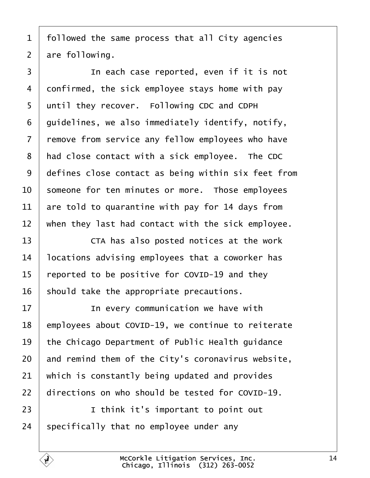<span id="page-13-0"></span>1 followed the same process that all City agencies

2 are following.

3 **I** In each case reported, even if it is not 4 donfirmed, the sick employee stays home with pay 5 until they recover. Following CDC and CDPH 6 duidelines, we also immediately identify, notify, 7 remove from service any fellow employees who have 8 had close contact with a sick employee. The CDC 9 defines close contact as being within six feet from 10 someone for ten minutes or more. Those employees 11  $\mu$  are told to quarantine with pay for 14 days from 12 when they last had contact with the sick employee. 13 **CTA** has also posted notices at the work 14 locations advising employees that a coworker has 15 reported to be positive for COVID-19 and they 16 should take the appropriate precautions. 17 **I** In every communication we have with 18 employees about COVID-19, we continue to reiterate 19 the Chicago Department of Public Health guidance 20 and remind them of the City's coronavirus website, 21 which is constantly being updated and provides 22 directions on who should be tested for COVID-19.  $23$  | I think it's important to point out 24 specifically that no employee under any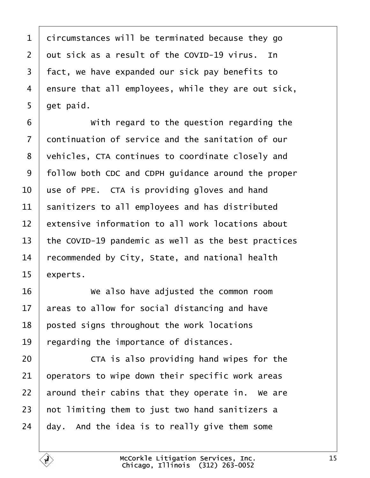<span id="page-14-0"></span>

| 1               | dircumstances will be terminated because they go    |
|-----------------|-----------------------------------------------------|
| $\overline{2}$  | dut sick as a result of the COVID-19 virus. In      |
| 3               | fact, we have expanded our sick pay benefits to     |
| 4               | ensure that all employees, while they are out sick, |
| 5               | get paid.                                           |
| 6               | With regard to the question regarding the           |
| $\overline{7}$  | dontinuation of service and the sanitation of our   |
| 8               | vehicles, CTA continues to coordinate closely and   |
| 9               | follow both CDC and CDPH guidance around the proper |
| 10              | use of PPE. CTA is providing gloves and hand        |
| 11              | sanitizers to all employees and has distributed     |
| 12              | extensive information to all work locations about   |
| 13              | the COVID-19 pandemic as well as the best practices |
| 14              | recommended by City, State, and national health     |
| 15              | experts.                                            |
| 16              | We also have adjusted the common room               |
| 17 <sub>1</sub> | areas to allow for social distancing and have       |
| 18              | posted signs throughout the work locations          |
| 19              | regarding the importance of distances.              |
| 20              | CTA is also providing hand wipes for the            |
| 21              | operators to wipe down their specific work areas    |
| 22              | around their cabins that they operate in. We are    |
| 23              | not limiting them to just two hand sanitizers a     |
| 24              | day. And the idea is to really give them some       |
|                 |                                                     |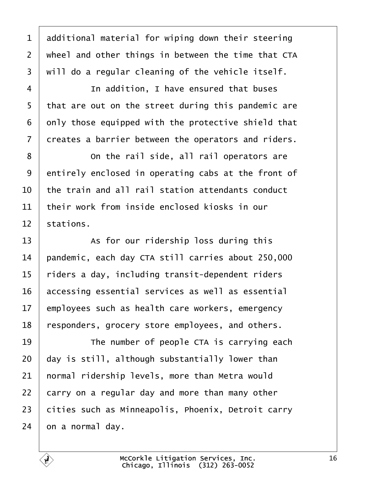<span id="page-15-0"></span>

| 1              | additional material for wiping down their steering  |
|----------------|-----------------------------------------------------|
| $\overline{2}$ | wheel and other things in between the time that CTA |
| 3              | will do a regular cleaning of the vehicle itself.   |
| 4              | In addition, I have ensured that buses              |
| 5              | that are out on the street during this pandemic are |
| 6              | only those equipped with the protective shield that |
| 7              | dreates a barrier between the operators and riders. |
| 8              | On the rail side, all rail operators are            |
| 9              | entirely enclosed in operating cabs at the front of |
| 10             | the train and all rail station attendants conduct   |
| 11             | their work from inside enclosed kiosks in our       |
| 12             | stations.                                           |
|                |                                                     |
| 13             | As for our ridership loss during this               |
| 14             | pandemic, each day CTA still carries about 250,000  |
| 15             | riders a day, including transit-dependent riders    |
| 16             | accessing essential services as well as essential   |
| 17             | employees such as health care workers, emergency    |
| 18             | responders, grocery store employees, and others.    |
| 19             | The number of people CTA is carrying each           |
| 20             | day is still, although substantially lower than     |
| 21             | hormal ridership levels, more than Metra would      |
| 22             | carry on a regular day and more than many other     |
| 23             | cities such as Minneapolis, Phoenix, Detroit carry  |

Г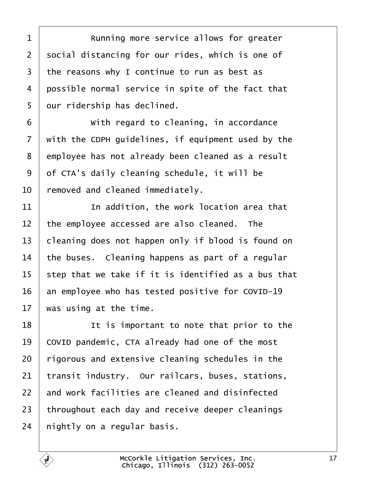<span id="page-16-0"></span>

| 1              | Running more service allows for greater             |
|----------------|-----------------------------------------------------|
| $\overline{2}$ | social distancing for our rides, which is one of    |
| 3              | the reasons why I continue to run as best as        |
| 4              | possible normal service in spite of the fact that   |
| 5              | dur ridership has declined.                         |
| 6              | With regard to cleaning, in accordance              |
| $\overline{7}$ | with the CDPH guidelines, if equipment used by the  |
| 8              | employee has not already been cleaned as a result   |
| 9              | of CTA's daily cleaning schedule, it will be        |
| 10             | removed and cleaned immediately.                    |
| 11             | In addition, the work location area that            |
| 12             | the employee accessed are also cleaned. The         |
| 13             | cleaning does not happen only if blood is found on  |
| 14             | the buses. Cleaning happens as part of a regular    |
| 15             | step that we take if it is identified as a bus that |
| 16             | an employee who has tested positive for COVID-19    |
| 17             | was using at the time.                              |
| 18             | It is important to note that prior to the           |
| 19             | COVID pandemic, CTA already had one of the most     |
| 20             | rigorous and extensive cleaning schedules in the    |
| 21             | transit industry. Our railcars, buses, stations,    |
| 22             | and work facilities are cleaned and disinfected     |
| 23             | throughout each day and receive deeper cleanings    |
| 24             | hightly on a regular basis.                         |
|                |                                                     |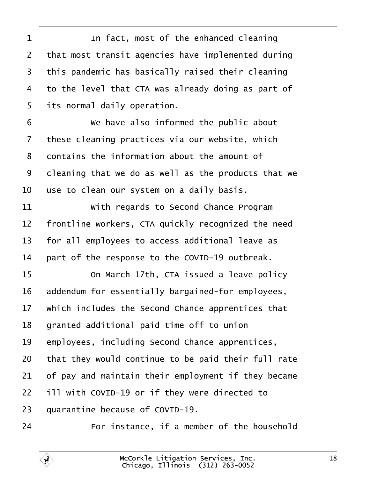<span id="page-17-0"></span>

| 1              | In fact, most of the enhanced cleaning              |
|----------------|-----------------------------------------------------|
| $\overline{2}$ | that most transit agencies have implemented during  |
| 3              | this pandemic has basically raised their cleaning   |
| 4              | to the level that CTA was already doing as part of  |
| 5              | its normal daily operation.                         |
| 6              | We have also informed the public about              |
| 7              | these cleaning practices via our website, which     |
| 8              | dontains the information about the amount of        |
| 9              | deaning that we do as well as the products that we  |
| 10             | use to clean our system on a daily basis.           |
| 11             | With regards to Second Chance Program               |
| 12             | frontline workers, CTA quickly recognized the need  |
| 13             | for all employees to access additional leave as     |
| 14             | part of the response to the COVID-19 outbreak.      |
| 15             | On March 17th, CTA issued a leave policy            |
| 16             | addendum for essentially bargained-for employees,   |
| 17             | which includes the Second Chance apprentices that   |
| 18             | granted additional paid time off to union           |
| 19             | employees, including Second Chance apprentices,     |
| 20             | that they would continue to be paid their full rate |
| 21             | of pay and maintain their employment if they became |
| 22             | ill with COVID-19 or if they were directed to       |
| 23             | quarantine because of COVID-19.                     |
| 24             | For instance, if a member of the household          |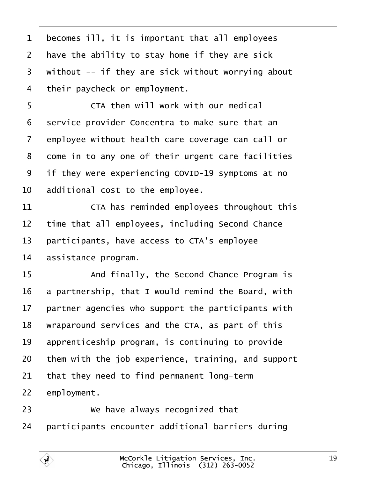<span id="page-18-0"></span>

| 1              | becomes ill, it is important that all employees     |  |
|----------------|-----------------------------------------------------|--|
| $\overline{2}$ | have the ability to stay home if they are sick      |  |
| 3              | without -- if they are sick without worrying about  |  |
| $\overline{4}$ | their paycheck or employment.                       |  |
| 5              | CTA then will work with our medical                 |  |
| 6              | service provider Concentra to make sure that an     |  |
| $\overline{7}$ | employee without health care coverage can call or   |  |
| 8              | dome in to any one of their urgent care facilities  |  |
| 9              | if they were experiencing COVID-19 symptoms at no   |  |
| 10             | additional cost to the employee.                    |  |
| 11             | CTA has reminded employees throughout this          |  |
| 12             | time that all employees, including Second Chance    |  |
| 13             | participants, have access to CTA's employee         |  |
| 14             | assistance program.                                 |  |
| 15             | And finally, the Second Chance Program is           |  |
| 16             | a partnership, that I would remind the Board, with  |  |
| 17             | partner agencies who support the participants with  |  |
| 18             | wraparound services and the CTA, as part of this    |  |
| 19             | apprenticeship program, is continuing to provide    |  |
| 20             | them with the job experience, training, and support |  |
| 21             | that they need to find permanent long-term          |  |
| 22             | employment.                                         |  |
| 23             | We have always recognized that                      |  |
| 24             | participants encounter additional barriers during   |  |
|                |                                                     |  |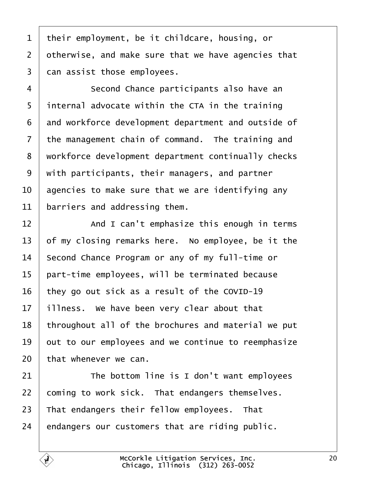<span id="page-19-0"></span>

| 1               | their employment, be it childcare, housing, or      |
|-----------------|-----------------------------------------------------|
| $\overline{2}$  | otherwise, and make sure that we have agencies that |
| 3               | dan assist those employees.                         |
| 4               | Second Chance participants also have an             |
| 5               | internal advocate within the CTA in the training    |
| 6               | and workforce development department and outside of |
| 7               | the management chain of command. The training and   |
| 8               | workforce development department continually checks |
| 9               | with participants, their managers, and partner      |
| 10              | agencies to make sure that we are identifying any   |
| 11              | barriers and addressing them.                       |
| 12              | And I can't emphasize this enough in terms          |
| 13              | of my closing remarks here. No employee, be it the  |
| 14              | Second Chance Program or any of my full-time or     |
| 15              | part-time employees, will be terminated because     |
| 16              | they go out sick as a result of the COVID-19        |
| 17 <sub>1</sub> | illness. We have been very clear about that         |
| 18              | throughout all of the brochures and material we put |
| 19              | but to our employees and we continue to reemphasize |
| 20              | that whenever we can.                               |
| 21              | The bottom line is I don't want employees           |
| 22              | coming to work sick. That endangers themselves.     |
| 23              | That endangers their fellow employees. That         |
| 24              | endangers our customers that are riding public.     |
|                 |                                                     |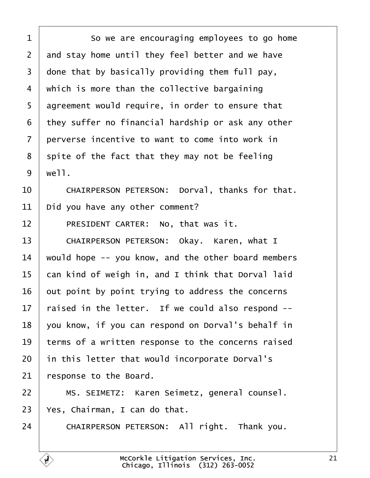<span id="page-20-0"></span>

| 1               | So we are encouraging employees to go home          |
|-----------------|-----------------------------------------------------|
| $\overline{2}$  | and stay home until they feel better and we have    |
| 3               | done that by basically providing them full pay,     |
| 4               | which is more than the collective bargaining        |
| 5               | agreement would require, in order to ensure that    |
| 6               | they suffer no financial hardship or ask any other  |
| $\overline{7}$  | perverse incentive to want to come into work in     |
| 8               | spite of the fact that they may not be feeling      |
| 9               | well.                                               |
| 10              | CHAIRPERSON PETERSON: Dorval, thanks for that.      |
| 11              | Did you have any other comment?                     |
| 12              | PRESIDENT CARTER: No, that was it.                  |
| 13              | CHAIRPERSON PETERSON: Okay. Karen, what I           |
| 14              | would hope -- you know, and the other board members |
| 15              | can kind of weigh in, and I think that Dorval laid  |
| 16              | but point by point trying to address the concerns   |
| 17 <sup>2</sup> | raised in the letter. If we could also respond --   |
| 18              | you know, if you can respond on Dorval's behalf in  |
| 19              | terms of a written response to the concerns raised  |
| 20              | in this letter that would incorporate Dorval's      |
| 21              | response to the Board.                              |
| 22              | MS. SEIMETZ: Karen Seimetz, general counsel.        |
| 23              | Yes, Chairman, I can do that.                       |
| 24              | CHAIRPERSON PETERSON: All right. Thank you.         |
|                 |                                                     |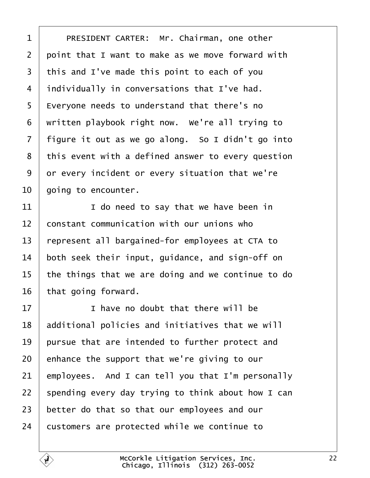<span id="page-21-0"></span>

| 1              | PRESIDENT CARTER: Mr. Chairman, one other          |
|----------------|----------------------------------------------------|
| $\overline{2}$ | point that I want to make as we move forward with  |
| 3              | this and I've made this point to each of you       |
| 4              | individually in conversations that I've had.       |
| 5              | Everyone needs to understand that there's no       |
| 6              | written playbook right now. We're all trying to    |
| 7              | figure it out as we go along. So I didn't go into  |
| 8              | this event with a defined answer to every question |
| 9              | or every incident or every situation that we're    |
| 10             | going to encounter.                                |
| 11             | I do need to say that we have been in              |
| 12             | constant communication with our unions who         |
| 13             | represent all bargained-for employees at CTA to    |
| 14             | both seek their input, guidance, and sign-off on   |
| 15             | the things that we are doing and we continue to do |
| 16             | that going forward.                                |
| 17             | I have no doubt that there will be                 |
| 18             | additional policies and initiatives that we will   |
| 19             | pursue that are intended to further protect and    |
| 20             | enhance the support that we're giving to our       |
| 21             | employees. And I can tell you that I'm personally  |
| 22             | spending every day trying to think about how I can |
| 23             | better do that so that our employees and our       |
| 24             | customers are protected while we continue to       |
|                |                                                    |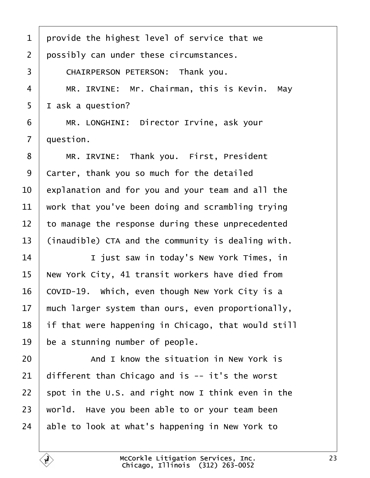<span id="page-22-0"></span>

| 1              | provide the highest level of service that we        |
|----------------|-----------------------------------------------------|
| $\overline{2}$ | possibly can under these circumstances.             |
| 3              | CHAIRPERSON PETERSON: Thank you.                    |
| 4              | MR. IRVINE: Mr. Chairman, this is Kevin. May        |
| 5              | I ask a question?                                   |
| 6              | MR. LONGHINI: Director Irvine, ask your             |
| $\overline{7}$ | duestion.                                           |
| 8              | MR. IRVINE: Thank you. First, President             |
| 9              | Carter, thank you so much for the detailed          |
| 10             | explanation and for you and your team and all the   |
| 11             | work that you've been doing and scrambling trying   |
| 12             | to manage the response during these unprecedented   |
| 13             | (inaudible) CTA and the community is dealing with.  |
| 14             | I just saw in today's New York Times, in            |
| 15             | New York City, 41 transit workers have died from    |
| 16             | COVID-19. Which, even though New York City is a     |
| 17             | much larger system than ours, even proportionally,  |
| 18             | if that were happening in Chicago, that would still |
| 19             | be a stunning number of people.                     |
| 20             | And I know the situation in New York is             |
| 21             | different than Chicago and is -- it's the worst     |
| 22             | spot in the U.S. and right now I think even in the  |
| 23             | world. Have you been able to or your team been      |
| 24             | able to look at what's happening in New York to     |
|                |                                                     |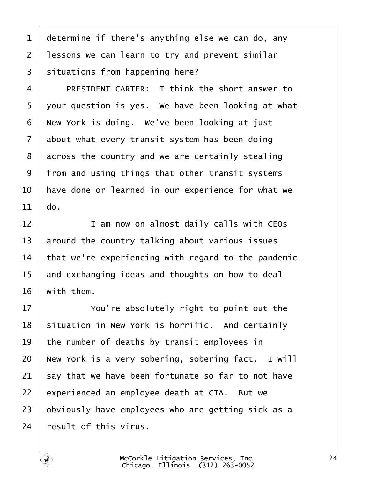<span id="page-23-0"></span>1 determine if there's anything else we can do, any 2 lessons we can learn to try and prevent similar 3 situations from happening here? 4 • PRESIDENT CARTER: I think the short answer to 5 your question is yes. We have been looking at what 6 New York is doing. We've been looking at just 7 about what every transit system has been doing 8 across the country and we are certainly stealing 9 from and using things that other transit systems 10 have done or learned in our experience for what we 11  $\theta$ o. 12 **I** am now on almost daily calls with CEOs 13 around the country talking about various issues 14 that we're experiencing with regard to the pandemic 15 and exchanging ideas and thoughts on how to deal 16 with them. 17 **We Studie You're absolutely right to point out the** 18 situation in New York is horrific. And certainly 19 the number of deaths by transit employees in 20 New York is a very sobering, sobering fact. I will 21 say that we have been fortunate so far to not have 22 experienced an employee death at CTA. But we 23 b b viously have employees who are getting sick as a 24 result of this virus.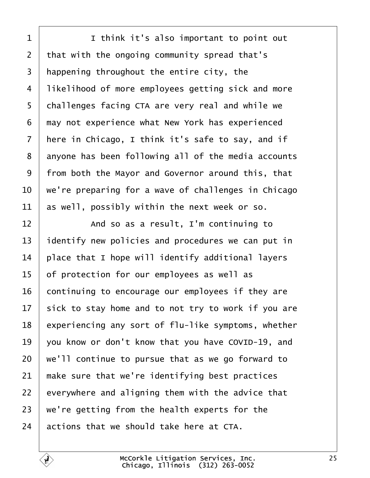<span id="page-24-0"></span>

| 1               | I think it's also important to point out            |
|-----------------|-----------------------------------------------------|
| $\overline{2}$  | that with the ongoing community spread that's       |
| 3               | happening throughout the entire city, the           |
| 4               | likelihood of more employees getting sick and more  |
| 5               | challenges facing CTA are very real and while we    |
| 6               | may not experience what New York has experienced    |
| 7               | here in Chicago, I think it's safe to say, and if   |
| 8               | anyone has been following all of the media accounts |
| 9               | from both the Mayor and Governor around this, that  |
| 10              | we're preparing for a wave of challenges in Chicago |
| 11              | as well, possibly within the next week or so.       |
| 12              | And so as a result, I'm continuing to               |
| 13              | identify new policies and procedures we can put in  |
| 14              | place that I hope will identify additional layers   |
| 15              | of protection for our employees as well as          |
| 16              | continuing to encourage our employees if they are   |
| 17 <sub>1</sub> | sick to stay home and to not try to work if you are |
| 18              | experiencing any sort of flu-like symptoms, whether |
| 19              | you know or don't know that you have COVID-19, and  |
| 20              | we'll continue to pursue that as we go forward to   |
| 21              | make sure that we're identifying best practices     |
| 22              | everywhere and aligning them with the advice that   |
| 23              | we're getting from the health experts for the       |
| 24              | actions that we should take here at CTA.            |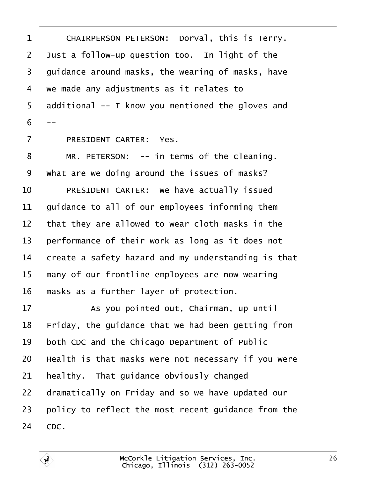<span id="page-25-0"></span>

| 1              | CHAIRPERSON PETERSON: Dorval, this is Terry.        |
|----------------|-----------------------------------------------------|
| $\overline{2}$ | Just a follow-up question too. In light of the      |
| 3              | guidance around masks, the wearing of masks, have   |
| 4              | we made any adjustments as it relates to            |
| 5              | additional -- I know you mentioned the gloves and   |
| 6              |                                                     |
| $\overline{7}$ | PRESIDENT CARTER: Yes.                              |
| 8              | MR. PETERSON: -- in terms of the cleaning.          |
| 9              | What are we doing around the issues of masks?       |
| 10             | PRESIDENT CARTER: We have actually issued           |
| 11             | guidance to all of our employees informing them     |
| 12             | that they are allowed to wear cloth masks in the    |
| 13             | performance of their work as long as it does not    |
| 14             | create a safety hazard and my understanding is that |
| 15             | many of our frontline employees are now wearing     |
| 16             | masks as a further layer of protection.             |
| 17             | As you pointed out, Chairman, up until              |
| 18             | Friday, the guidance that we had been getting from  |
| 19             | both CDC and the Chicago Department of Public       |
| 20             | Health is that masks were not necessary if you were |
| 21             | healthy. That guidance obviously changed            |
| 22             | dramatically on Friday and so we have updated our   |
| 23             | policy to reflect the most recent guidance from the |
| 24             | CDC.                                                |
|                |                                                     |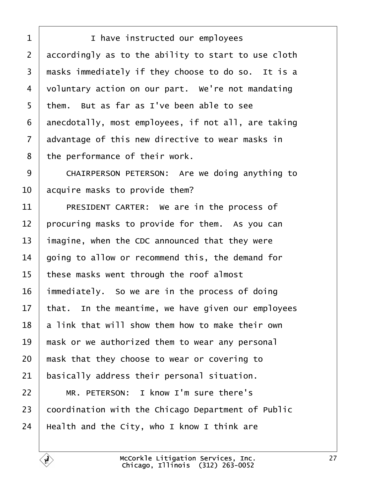<span id="page-26-0"></span>

| 1  | I have instructed our employees                     |
|----|-----------------------------------------------------|
| 2  | accordingly as to the ability to start to use cloth |
| 3  | masks immediately if they choose to do so. It is a  |
| 4  | voluntary action on our part. We're not mandating   |
| 5  | them. But as far as I've been able to see           |
| 6  | anecdotally, most employees, if not all, are taking |
| 7  | advantage of this new directive to wear masks in    |
| 8  | the performance of their work.                      |
| 9  | CHAIRPERSON PETERSON: Are we doing anything to      |
| 10 | acquire masks to provide them?                      |
| 11 | PRESIDENT CARTER: We are in the process of          |
| 12 | procuring masks to provide for them. As you can     |
| 13 | imagine, when the CDC announced that they were      |
| 14 | going to allow or recommend this, the demand for    |
| 15 | these masks went through the roof almost            |
| 16 | immediately. So we are in the process of doing      |
| 17 | that. In the meantime, we have given our employees  |
| 18 | a link that will show them how to make their own    |
| 19 | mask or we authorized them to wear any personal     |
| 20 | mask that they choose to wear or covering to        |
| 21 | basically address their personal situation.         |
| 22 | MR. PETERSON: I know I'm sure there's               |
| 23 | coordination with the Chicago Department of Public  |
| 24 | Health and the City, who I know I think are         |
|    |                                                     |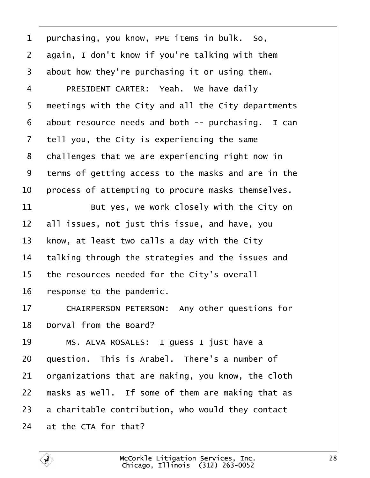<span id="page-27-0"></span>

| 1              | purchasing, you know, PPE items in bulk. So,        |
|----------------|-----------------------------------------------------|
| $\overline{2}$ | again, I don't know if you're talking with them     |
| 3              | about how they're purchasing it or using them.      |
| 4              | PRESIDENT CARTER: Yeah. We have daily               |
| 5              | meetings with the City and all the City departments |
| 6              | about resource needs and both -- purchasing. I can  |
| 7              | tell you, the City is experiencing the same         |
| 8              | challenges that we are experiencing right now in    |
| 9              | terms of getting access to the masks and are in the |
| 10             | process of attempting to procure masks themselves.  |
| 11             | But yes, we work closely with the City on           |
| 12             | all issues, not just this issue, and have, you      |
| 13             | know, at least two calls a day with the City        |
| 14             | talking through the strategies and the issues and   |
| 15             | the resources needed for the City's overall         |
| 16             | response to the pandemic.                           |
| 17             | CHAIRPERSON PETERSON: Any other questions for       |
| 18             | Dorval from the Board?                              |
| 19             | MS. ALVA ROSALES: I guess I just have a             |
| 20             | question. This is Arabel. There's a number of       |
| 21             | prganizations that are making, you know, the cloth  |
| 22             | masks as well. If some of them are making that as   |
| 23             | a charitable contribution, who would they contact   |
| 24             | at the CTA for that?                                |
|                |                                                     |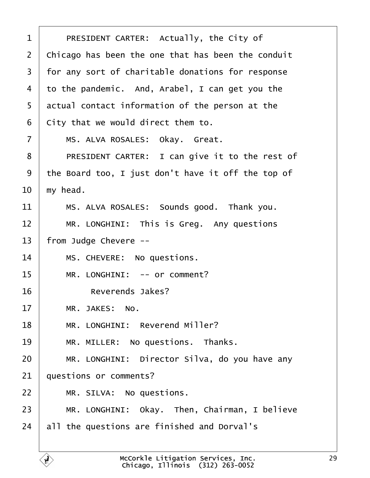<span id="page-28-0"></span>

| 1              | PRESIDENT CARTER: Actually, the City of            |
|----------------|----------------------------------------------------|
| $\overline{2}$ | Chicago has been the one that has been the conduit |
| 3              | for any sort of charitable donations for response  |
| 4              | to the pandemic. And, Arabel, I can get you the    |
| 5              | actual contact information of the person at the    |
| 6              | City that we would direct them to.                 |
| 7              | MS. ALVA ROSALES: Okay. Great.                     |
| 8              | PRESIDENT CARTER: I can give it to the rest of     |
| 9              | the Board too, I just don't have it off the top of |
| 10             | my head.                                           |
| 11             | MS. ALVA ROSALES: Sounds good. Thank you.          |
| 12             | MR. LONGHINI: This is Greg. Any questions          |
| 13             | from Judge Chevere --                              |
| 14             | MS. CHEVERE: No questions.                         |
| 15             | MR. LONGHINI: -- or comment?                       |
| 16             | Reverends Jakes?                                   |
| 17             | MR. JAKES: No.                                     |
| 18             | MR. LONGHINI: Reverend Miller?                     |
| 19             | MR. MILLER: No questions. Thanks.                  |
| 20             | MR. LONGHINI: Director Silva, do you have any      |
| 21             | questions or comments?                             |
| 22             | MR. SILVA: No questions.                           |
| 23             | MR. LONGHINI: Okay. Then, Chairman, I believe      |
| 24             | all the questions are finished and Dorval's        |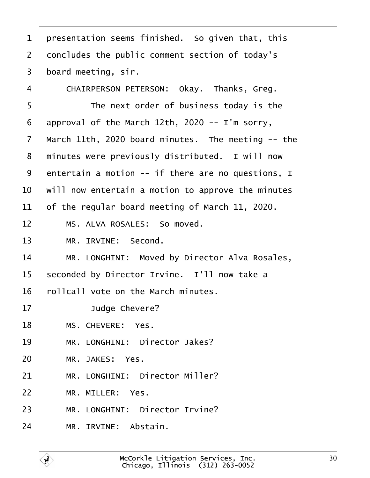<span id="page-29-0"></span>

| 1              | presentation seems finished. So given that, this   |
|----------------|----------------------------------------------------|
| $\overline{2}$ | doncludes the public comment section of today's    |
| 3              | board meeting, sir.                                |
| 4              | CHAIRPERSON PETERSON: Okay. Thanks, Greg.          |
| 5              | The next order of business today is the            |
| 6              | approval of the March 12th, 2020 -- I'm sorry,     |
| $\overline{7}$ | March 11th, 2020 board minutes. The meeting -- the |
| 8              | minutes were previously distributed. I will now    |
| 9              | entertain a motion -- if there are no questions, I |
| 10             | will now entertain a motion to approve the minutes |
| 11             | of the regular board meeting of March 11, 2020.    |
| 12             | MS. ALVA ROSALES: So moved.                        |
| 13             | MR. IRVINE: Second.                                |
| 14             | MR. LONGHINI: Moved by Director Alva Rosales,      |
| 15             | seconded by Director Irvine. I'll now take a       |
| 16             | rollcall vote on the March minutes.                |
| 17             | Judge Chevere?                                     |
| 18             | MS. CHEVERE: Yes.                                  |
| 19             | MR. LONGHINI: Director Jakes?                      |
| 20             | MR. JAKES: Yes.                                    |
| 21             | MR. LONGHINI: Director Miller?                     |
| 22             | MR. MILLER: Yes.                                   |
| 23             | MR. LONGHINI: Director Irvine?                     |
| 24             | MR. IRVINE: Abstain.                               |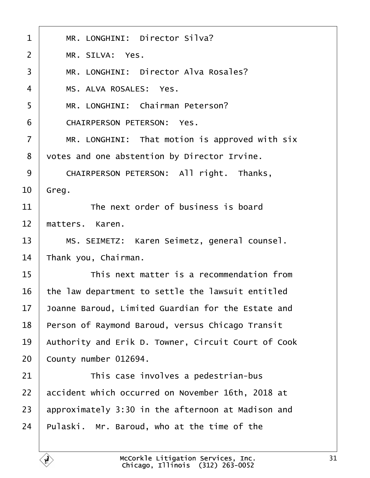<span id="page-30-0"></span>

| $\mathbf 1$    | MR. LONGHINI: Director Silva?                       |
|----------------|-----------------------------------------------------|
| $\overline{2}$ | MR. SILVA: Yes.                                     |
| 3              | MR. LONGHINI: Director Alva Rosales?                |
| 4              | MS. ALVA ROSALES: Yes.                              |
| 5              | MR. LONGHINI: Chairman Peterson?                    |
| 6              | <b>CHAIRPERSON PETERSON: Yes.</b>                   |
| $\overline{7}$ | MR. LONGHINI: That motion is approved with six      |
| 8              | votes and one abstention by Director Irvine.        |
| 9              | CHAIRPERSON PETERSON: All right. Thanks,            |
| 10             | Greg.                                               |
| 11             | The next order of business is board                 |
| 12             | matters. Karen.                                     |
| 13             | MS. SEIMETZ: Karen Seimetz, general counsel.        |
| 14             | Thank you, Chairman.                                |
| 15             | This next matter is a recommendation from           |
| 16             | the law department to settle the lawsuit entitled   |
| 17             | Joanne Baroud, Limited Guardian for the Estate and  |
| 18             | Person of Raymond Baroud, versus Chicago Transit    |
| 19             | Authority and Erik D. Towner, Circuit Court of Cook |
| 20             | County number 012694.                               |
| 21             | This case involves a pedestrian-bus                 |
| 22             | accident which occurred on November 16th, 2018 at   |
| 23             | approximately 3:30 in the afternoon at Madison and  |
| 24             | Pulaski. Mr. Baroud, who at the time of the         |
|                |                                                     |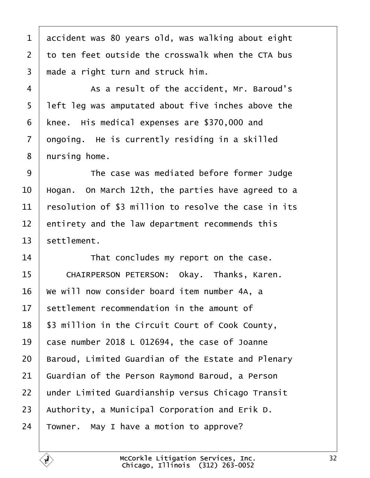<span id="page-31-0"></span>

| 1               | accident was 80 years old, was walking about eight   |
|-----------------|------------------------------------------------------|
| $\overline{2}$  | to ten feet outside the crosswalk when the CTA bus   |
| 3               | made a right turn and struck him.                    |
| 4               | As a result of the accident, Mr. Baroud's            |
| 5               | left leg was amputated about five inches above the   |
| 6               | knee. His medical expenses are \$370,000 and         |
| $\overline{7}$  | dngoing. He is currently residing in a skilled       |
| 8               | nursing home.                                        |
| 9               | The case was mediated before former Judge            |
| 10              | Hogan. On March 12th, the parties have agreed to a   |
| 11              | resolution of \$3 million to resolve the case in its |
| 12              | entirety and the law department recommends this      |
| 13              | settlement.                                          |
| 14              | That concludes my report on the case.                |
| 15              | CHAIRPERSON PETERSON: Okay. Thanks, Karen.           |
| 16              | We will now consider board item number 4A, a         |
| 17 <sup>1</sup> | settlement recommendation in the amount of           |
| 18              | \$3 million in the Circuit Court of Cook County,     |
| 19              | case number 2018 L 012694, the case of Joanne        |
| 20              | Baroud, Limited Guardian of the Estate and Plenary   |
| 21              | Guardian of the Person Raymond Baroud, a Person      |
| 22              | under Limited Guardianship versus Chicago Transit    |
| 23              | Authority, a Municipal Corporation and Erik D.       |
| 24              | Towner. May I have a motion to approve?              |
|                 |                                                      |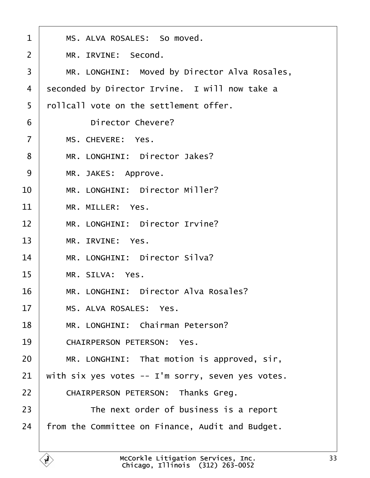<span id="page-32-0"></span>

| 1              | MS. ALVA ROSALES: So moved.                       |
|----------------|---------------------------------------------------|
| 2              | MR. IRVINE: Second.                               |
| 3              | MR. LONGHINI: Moved by Director Alva Rosales,     |
| 4              | seconded by Director Irvine. I will now take a    |
| 5              | rollcall vote on the settlement offer.            |
| 6              | Director Chevere?                                 |
| $\overline{7}$ | MS. CHEVERE: Yes.                                 |
| 8              | MR. LONGHINI: Director Jakes?                     |
| 9              | MR. JAKES: Approve.                               |
| 10             | MR. LONGHINI: Director Miller?                    |
| 11             | MR. MILLER: Yes.                                  |
| 12             | MR. LONGHINI: Director Irvine?                    |
| 13             | MR. IRVINE: Yes.                                  |
| 14             | MR. LONGHINI: Director Silva?                     |
| 15             | MR. SILVA: Yes.                                   |
| 16             | MR. LONGHINI: Director Alva Rosales?              |
| 17             | MS. ALVA ROSALES: Yes.                            |
| 18             | MR. LONGHINI: Chairman Peterson?                  |
| 19             | <b>CHAIRPERSON PETERSON: Yes.</b>                 |
| 20             | MR. LONGHINI: That motion is approved, sir,       |
| 21             | with six yes votes -- I'm sorry, seven yes votes. |
| 22             | CHAIRPERSON PETERSON: Thanks Greg.                |
| 23             | The next order of business is a report            |
| 24             | from the Committee on Finance, Audit and Budget.  |
|                |                                                   |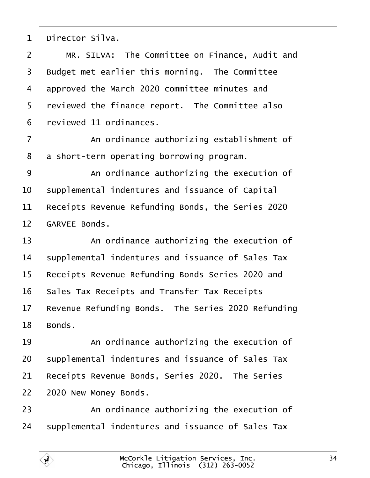<span id="page-33-0"></span>1 Director Silva. 2 | MR, SILVA: The Committee on Finance, Audit and 3 Budget met earlier this morning. The Committee 4 approved the March 2020 committee minutes and 5 reviewed the finance report. The Committee also ·6· ·reviewed 11 ordinances. 7 An ordinance authorizing establishment of 8 a short-term operating borrowing program. 9 An ordinance authorizing the execution of 10 supplemental indentures and issuance of Capital 11 Receipts Revenue Refunding Bonds, the Series 2020 12 GARVEE Bonds. 13 **An ordinance authorizing the execution of** 14 supplemental indentures and issuance of Sales Tax 15 Receipts Revenue Refunding Bonds Series 2020 and 16 Sales Tax Receipts and Transfer Tax Receipts 17 Revenue Refunding Bonds. The Series 2020 Refunding 18 Bonds. 19 An ordinance authorizing the execution of 20 supplemental indentures and issuance of Sales Tax 21 Receipts Revenue Bonds, Series 2020. The Series 22 2020 New Money Bonds. 23 **An ordinance authorizing the execution of** 24 supplemental indentures and issuance of Sales Tax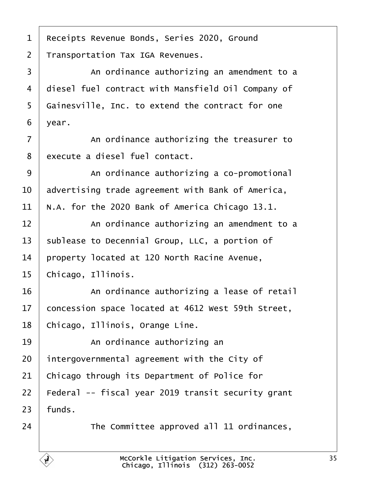<span id="page-34-0"></span>1 Receipts Revenue Bonds, Series 2020, Ground 2 Transportation Tax IGA Revenues. 3 | An ordinance authorizing an amendment to a 4 diesel fuel contract with Mansfield Oil Company of 5 Gainesville, Inc. to extend the contract for one 6 year. 7 **An ordinance authorizing the treasurer to** 8 execute a diesel fuel contact. 9 | An ordinance authorizing a co-promotional 10 advertising trade agreement with Bank of America, 11 N.A. for the 2020 Bank of America Chicago 13.1. 12 An ordinance authorizing an amendment to a 13 sublease to Decennial Group, LLC, a portion of 14 property located at 120 North Racine Avenue, 15 Chicago, Illinois. 16 **An ordinance authorizing a lease of retail** 17 concession space located at 4612 West 59th Street, 18 Chicago, Illinois, Orange Line. 19 | An ordinance authorizing an 20 intergovernmental agreement with the City of 21 Chicago through its Department of Police for 22 Federal -- fiscal year 2019 transit security grant  $23$  funds. 24 **The Committee approved all 11 ordinances,**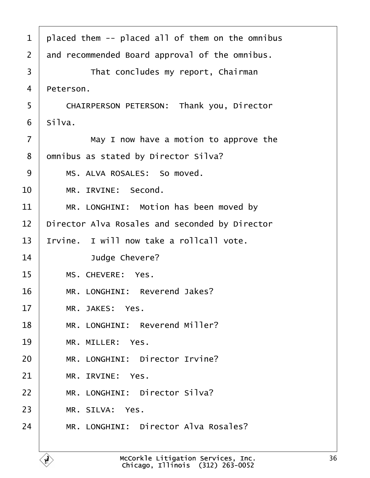<span id="page-35-0"></span>

| 1  | placed them -- placed all of them on the omnibus |
|----|--------------------------------------------------|
| 2  | and recommended Board approval of the omnibus.   |
| 3  | That concludes my report, Chairman               |
|    |                                                  |
| 4  | Peterson.                                        |
| 5  | CHAIRPERSON PETERSON: Thank you, Director        |
| 6  | Silva.                                           |
| 7  | May I now have a motion to approve the           |
| 8  | dmnibus as stated by Director Silva?             |
| 9  | MS. ALVA ROSALES: So moved.                      |
| 10 | MR. IRVINE: Second.                              |
| 11 | MR. LONGHINI: Motion has been moved by           |
| 12 | Director Alva Rosales and seconded by Director   |
| 13 | Irvine. I will now take a rollcall vote.         |
| 14 | Judge Chevere?                                   |
| 15 | MS. CHEVERE: Yes.                                |
| 16 | MR. LONGHINI: Reverend Jakes?                    |
| 17 | MR. JAKES: Yes.                                  |
| 18 | MR. LONGHINI: Reverend Miller?                   |
| 19 | MR. MILLER: Yes.                                 |
| 20 | MR. LONGHINI: Director Irvine?                   |
| 21 | MR. IRVINE: Yes.                                 |
| 22 | MR. LONGHINI: Director Silva?                    |
| 23 | MR. SILVA: Yes.                                  |
| 24 | MR. LONGHINI: Director Alva Rosales?             |
|    |                                                  |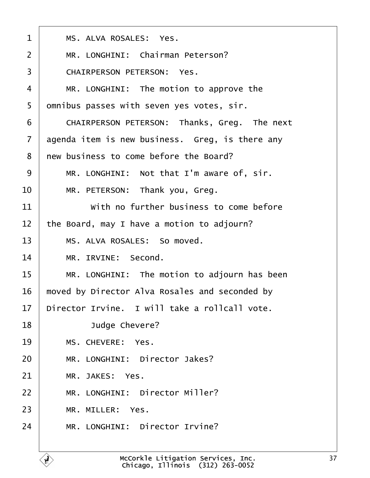<span id="page-36-0"></span>

| $\mathbf 1$    | MS. ALVA ROSALES: Yes.                          |
|----------------|-------------------------------------------------|
| $\overline{2}$ | MR. LONGHINI: Chairman Peterson?                |
| 3              | <b>CHAIRPERSON PETERSON: Yes.</b>               |
| 4              | MR. LONGHINI: The motion to approve the         |
| 5              | dmnibus passes with seven yes votes, sir.       |
| 6              | CHAIRPERSON PETERSON: Thanks, Greg. The next    |
| 7              | agenda item is new business. Greg, is there any |
| 8              | new business to come before the Board?          |
| 9              | MR. LONGHINI: Not that I'm aware of, sir.       |
| 10             | MR. PETERSON: Thank you, Greg.                  |
| 11             | With no further business to come before         |
| 12             | the Board, may I have a motion to adjourn?      |
| 13             | MS. ALVA ROSALES: So moved.                     |
| 14             | MR. IRVINE: Second.                             |
| 15             | MR. LONGHINI: The motion to adjourn has been    |
| 16             | moved by Director Alva Rosales and seconded by  |
| 17             | Director Irvine. I will take a rollcall vote.   |
| 18             | Judge Chevere?                                  |
| 19             | MS. CHEVERE: Yes.                               |
| 20             | MR. LONGHINI: Director Jakes?                   |
| 21             | MR. JAKES: Yes.                                 |
| 22             | MR. LONGHINI: Director Miller?                  |
| 23             | MR. MILLER: Yes.                                |
| 24             | MR. LONGHINI: Director Irvine?                  |
|                |                                                 |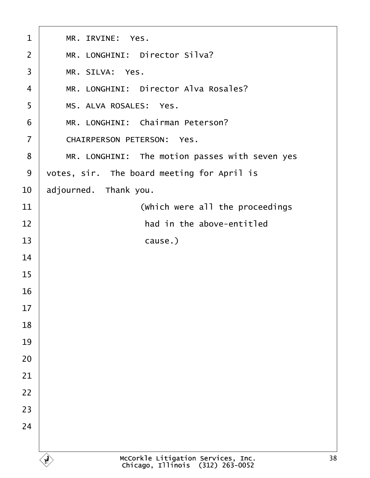<span id="page-37-0"></span>

| 1              | MR. IRVINE: Yes.                               |
|----------------|------------------------------------------------|
| $\overline{2}$ | MR. LONGHINI: Director Silva?                  |
| 3              | MR. SILVA: Yes.                                |
| 4              | MR. LONGHINI: Director Alva Rosales?           |
| 5              | MS. ALVA ROSALES: Yes.                         |
| 6              | MR. LONGHINI: Chairman Peterson?               |
| $\overline{7}$ | <b>CHAIRPERSON PETERSON: Yes.</b>              |
| 8              | MR. LONGHINI: The motion passes with seven yes |
| 9              | votes, sir. The board meeting for April is     |
| 10             | adjourned. Thank you.                          |
| 11             | (Which were all the proceedings                |
| 12             | had in the above-entitled                      |
| 13             | cause.)                                        |
| 14             |                                                |
| 15             |                                                |
| 16             |                                                |
| 17             |                                                |
| 18             |                                                |
| 19             |                                                |
| 20             |                                                |
| 21             |                                                |
| 22             |                                                |
| 23             |                                                |
| 24             |                                                |
|                |                                                |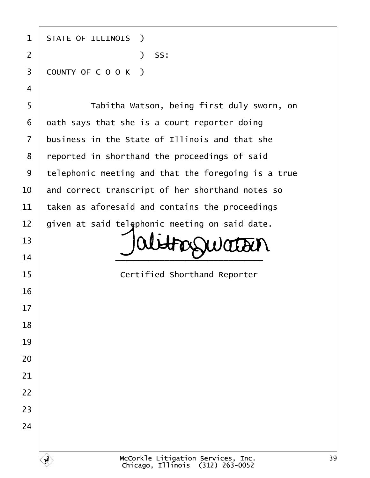| 1              | <b>STATE OF ILLINOIS</b> )                          |
|----------------|-----------------------------------------------------|
| $\overline{2}$ | $)$ SS:                                             |
| 3              | COUNTY OF COOK)                                     |
| 4              |                                                     |
| 5              | Tabitha Watson, being first duly sworn, on          |
| 6              | dath says that she is a court reporter doing        |
| 7              | business in the State of Illinois and that she      |
| 8              | reported in shorthand the proceedings of said       |
| 9              | telephonic meeting and that the foregoing is a true |
| 10             | and correct transcript of her shorthand notes so    |
| 11             | taken as aforesaid and contains the proceedings     |
| 12             | given at said telephonic meeting on said date.      |
| 13             |                                                     |
| 14             |                                                     |
| 15             | <b>Certified Shorthand Reporter</b>                 |
| 16             |                                                     |
| 17             |                                                     |
| 18             |                                                     |
| 19             |                                                     |
| 20             |                                                     |
| 21             |                                                     |
| 22             |                                                     |
| 23             |                                                     |
| 24             |                                                     |
|                |                                                     |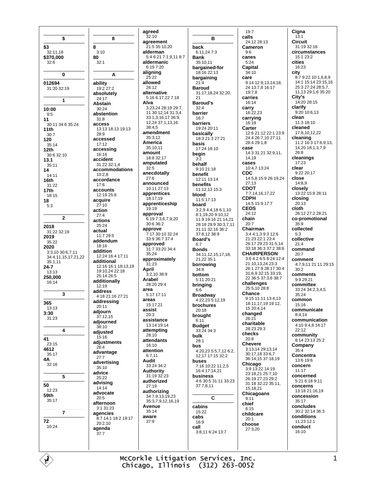McCorkle Litigation Services, Inc. Chicago, Illinois (312) 263-0052

8  $32.1118$  $3.10$ \$370,000 80  $32 - 6$  $32:1$  $\bf{0}$ ability 012694 19:2 27:2 31:20 32:19 absolutely 24:17  $\mathbf{1}$ Abstain  $30:24$  $10:00$ abstention  $9:5$  $31.8$ 30:11 34:6 35:24 access 13:13 18:13 19:13  $11th$  $28:9$  $30.7$ accessed 120  $35.14$  $17.12$ accessing  $12th$ 30:6 32:10 16:16 accident  $13.1$ 31:22 32:1.4  $35:11$ accommodations  $10.28$  $14.11$  $16th$ accordance  $31.22$  $17:6$ accounts  $17th$  $12.1925.8$ 18:15 18 acquire  $5:3$  $27:10$ action  $27.4$  $\overline{\phantom{a}}$ actions  $25.24$ 2018 actual 31:22 32:19 11:7 29:5 2019 addendum 35:22 18:16 2020 addition 3:3,10 30:6,7.11 12:24 16:4 17:11 34:4,11,15,17,21,22 additional  $35.111$  $24 - 7$ 12:16 16:1 18:13,18 19:10,24 22:18  $13.13$ 25:14 26:5 250.000 additionally 16:14  $12:19$ address  $\overline{3}$ 4:18 21:16 27:21 addressing 365  $20:11$  $13.13$ adjourn  $3:30$ 37:12.15 31:23 adjourned  $38:10$  $\overline{\mathbf{4}}$ adiusted  $15.16$ adjustments  $23:15$  $26:4$ 4612 advantage  $35.17$  $27.7$ 4Α advertising 32:16  $35:10$ advice 5  $25.22$ advising  $14.14$  $12.23$ advocate 59th 20:5  $35:17$ afternoon 3:1 31:23  $\overline{7}$ agencies 8:7 14:1 18:2 19:17  $20:2.10$ 10:24 agenda  $\overline{37}$ <sup>-7</sup>

\$

\$3

 $11$ 

14

41

50

72

8

A

agreed  $32:10$ agreement  $21:5.35:10.20$ alderman 5:4 6:21 7:1.9.11 8:7 aldermanic 6:19 7:20 aligning  $25.22$ allowed 26:12 alternative 5:16 6:17,22 7:18 Alva 3:23.24 28:19 29:7. 11 30:12 14 31:3 4 33:1.3.16.17 36:9. 12,24 37:1,13,16 38:4,5 amendment  $35:3,12$ America 35:10,11 amount 18:8 32:17 amputated  $32:5$ anecdotally  $27.6$ announced 10:11 27:13 apprentices  $18.1719$ apprenticeship  $19:19$ approval  $6.197367920$  $30:636:2$ approve 7:17 30:10 32:24 33:9 36:7 37:4 approved  $35:24$ approximately 31:23 April  $3.21038.9$ Arabel  $28.2029.4$ area 5:17 17:11 areas 15:17.21 assist  $20.3$ assistance 13:14 19:14 attempting  $28.10$ attendants 16:10 attention  $6:7,11$ **Audit**  $33.24.34.2$ Authority 31:19 32:23 authorized  $27:19$ authorizing 34:7,9,13,19,23 35:3,7,9,12,16,19 Avenue  $35.14$ aware  $37:9$ 

B hack 6:11,247:3 **Bank**  $35:10.11$ bargained-for  $18.1622.13$ bargaining  $21:4$ **Baroud** 31:17 18 24 32:20  $21$ **Baroud's**  $32.4$ barrier  $16:7$ barriers 19:24 20:11 basically 18:3 21:3 27:21 basis  $17.24$  18.10 begin  $3:2$ behalf  $9.1021.18$ **benefit**  $12.11$   $13.14$ **benefits** 11:12,13 15:3 blood 11:5 17:13 hoard 3:2.9 4:4.18 6:1.10 8:1,19,20 9:10,12 11:9 19:16 21:14.21 28:18 29:9 30:3,7,11 31:11 32:16 36:2 37:8.12 38:9 **Board's**  $6.7$ **Ronds** 34:11,12,15,17,18, 21.22 35:1 borrowing  $34.8$ hottom  $5:11.20:21$ bringing  $6:6$ **Broadway** 4:22,23 5:12.19 brochures  $20.18$ brought  $6:11$ **Budget**  $33.24.34.3$ bulk  $28.1$ bus 4:20.23 5:5.7.12 6:2. 12.17 17:15 32:2 huses 7:16 10:22 11:2.5 16:4 17:14,21 business 4:6 30:5 31:11 33:23 37:7,8,11 C cabins  $15.22$ cabs 16:9 call 3:8,11 6:24 13:7

 $10.7$ calls 24:12 28:13 Cameron  $Q \cdot G$ canes  $5:24$ **Capital**  $34.10$ care 9:14 12:9,13,14,18, 24 13:7,8 16:17  $19.78$ carries  $16.14$ carry<br> $16:22.23$ carrying  $16.19$ Carter  $12:621:1222:123:9$ 24:4 26:7 10 27:11 28:4 29:18 case 14:3 31:21 32:9,11, 14.19 cases 10:4,7 13:24 **CDC** 14:5,8 15:9 26:19,24  $27:13$ **CDOT** 7:7,14,16,17,22 **CDPH** 14:5 15:9 17:7 **CEOS** 24:12 chain  $20:7$ Chairman 3:4 4:1,3 9:3 12:6 21:23 22:1 23:4 26:17 29:23 31:5,14 33:18 36:3 37:2 38:6 **CHAIRPERSON**  $3.64.2658.2412.4$ 21:10.13.24 23:3 26:1 27:9 28:17 30:4  $31.6932.1533.19$ 22 36:5 37:3.6 38:7 challenges 25:5,10 28:8 Chance 9:15 11:11 13:4 13 18:11,17,19 19:12, 15 20:4.14 changed 26:21 charitable 28:23 29:3 checks  $20.8$ **Chevere** 3:13,14 29:13,14 30:17,18 33:6,7 36:14,15 37:18,19 Chicago  $3.913.2214.19$ 23:18 21 25:7 10 26:19 27:23 29:2 31:18 32:22 35:11, 15 18 21 Chicagoans  $9:11$ chief  $6.15$ childcare  $20:1$ choose 27:3.20

Cigna  $13:1$ Circuit 31:19 32:18 circumstances  $15:123:2$ cities 16:23 city  $8.79.2210.1689$ 14:1 15:14 23:15 16 25:3 27:24 28:5,7, 11.13 29:1.6 35:20 City's 14:20 28:15 clarify<br> $9:20 10:6.13$ clean 11:3 18:10 cleaned 17:8,10,12,22 cleaning 11:2 16:3 17:6,9,13, 14,20 18:1,3,7,9  $26.8$ cleanings 17:23 clear  $9:2220:17$ close 14:8.9 closelv 13:22 15:8 28:11 closing  $20.13$ cloth 26:12 27:2 28:21 co-promotional  $35:9$ collected  $5:3$ collective  $21:4$ command  $20.7$ comment 4:7,9,11 21:11 29:15  $30:2$ comments  $9.929.21$ committee 33:24 34:2.3.4.5  $35.24$ common  $15:16$ communicate  $8.414$ communication 4:10 9:4,8 14:17  $22:12$ community  $8.1423.1325.2$ Company  $35:4$ Concentra 13:6 19:6 concern  $11.17$ concerned 5:21 6:18 9:11 concerns  $13.1821.1619$ concession 35:17 concludes 30:2 32:14 36:3 conditions 11:23 12:1 conduct 16:10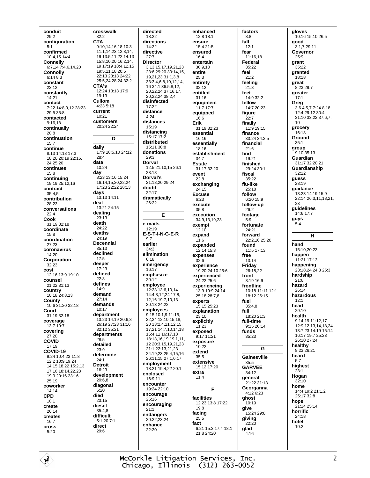conduit  $29:2$ configuration  $5.1$ confirmed 10:4.15 14:4 **Connelly** 6:7,14 7:4,6,14,20 Connolly  $6.1483$ constant  $22:12$ constantly 14:21 contact 7:22 14:8,9,12 28:23  $29.5.35.8$ contacted  $9:16,18$ continually  $20.8$ continuation  $15:7$ continue 8:13 14:18 17:3 18:20 20:19 22:15.  $24.25:20$ continues  $15:8$ continuing 19:19 25:12.16 contract  $35.45$ contribution 28:23 conversations  $22:4$ Cook 31:19 32:18 coordinate  $15.8$ coordination  $27.23$ coronavirus 14:20 Corporation  $32:23$ cost 12:16 13:9 19:10 counsel 21:22 31:13 country  $10:1824:8.13$ County 10:6 31:20 32:18 Court 31:19 32:18 coverage  $13.719.7$ covering 27:20 **COVID**  $17:19$ COVID-19 9:24 10:4,23 11:8 12:2 13:9,19,24 14:15,18,22 15:2,13 17:16 18:14,22,23 19:9 20:16 23:16  $25.19$ coworker  $14.14$ **CPD**  $10:1$ create  $26.14$ creates  $16:7$ cross  $5:20$ 

crosswalk  $32:2$ **CTA** 9:10,14,16,18 10:3 11:1.14.23 12:8.14. 19 13:5.11.22 14:13 15:8.10.20 16:2.14. 19 17:19 18:4,12,15 19:5,11,18 20:5 22:13.23:13.24:22 25:5,24 28:24 32:2 CTA's 12:24 13:13 17:9  $19.13$ Cullom  $4.235.18$ current  $10:21$ customers  $20:2422:24$ D daily 17:9 18:5,10 24:12 28:4 data 10:24 day 8:23 13:16 15:24 16:14 15 20 22 24 17:23 22:22 28:13 days 13:13 14:11 deal 13:21 24:15 dealing  $23:13$ death  $24.22$ deaths 24:19 **Decennial**  $35.13$ declined  $17:5$ deeper  $17.23$ defined  $22:8$ defines  $14.9$ demand  $27:14$ demands 10:17 department 13:23 14:19 20:6.8 26:19 27:23 31:16  $32.1235.21$ departments  $28:5$ detailed  $23.9$ determine  $24:1$ **Detroit** 16:23 development  $20:6.8$ diagonal  $5.20$ died  $23:15$ diesel  $35:4,8$ difficult 5:1,20 7:1 direct  $29:6$ 

directed 18:22 directions  $14.22$ directive  $27.7$ **Director** 3:13,15,17,19,21,23 23:6 29:20 30:14,15, 19,21,23 31:1,3,8 33:3468101214 16 34:1 36:5 8 12 20.22.24 37:16.17 20.22,24 38:2,4 disinfected 17:22 distance  $4.24$ distances 15:19 distancing 15:17 17:2 distributed 15:11 30:8 donations  $29.3$ Dorval 12:5 21:10,15 26:1  $28.18$ Dorval's 21:18.20 29:24 doubt  $22:17$ dramatically  $26.22$ E e-mails  $12.19$ E-S-T-I-N-G-E-R  $9:7$ earlier  $34.3$ elimination  $6:18$ emergency  $16:17$ emphasize  $20.12$ employee 12:23 13:6,10,14 14:4,8,12,24 17:8, 12, 16 19: 7, 10, 13  $20.1324.22$ emplovees 9:15 10:1,9 11:15, 22.24 12:10.15.18. 20 13:2.4.11.12.15 17,21 14:7,10,14,18 15:4,11 16:17,18 18:13,16,19 19:1,11, 12 20:3,15,19,21,23 21:1 22:13,21,23 24:19,23 25:4,15,16 26:11,15 27:1,6,17 employment 18:21 19:4,22 20:1 enclosed 16:9.11 encounter 19:24 22:10 encourage  $25.16$ encouraging  $21:1$ endangers 20:22.23.24 enhance  $22.20$ 

enhanced 12:8 18:1 ensure  $15.421.5$ ensured  $16.4$ entertain 30:9,10 entire  $25.3$ entirety 32:12 entitled  $31:16$ equipment 11:7 17:7 equipped  $16:6$ Erik 31:19 32:23 essential 16:16 essentially 18:16 establishment  $34.7$ **Estate** 31:17 32:20 event  $22.8$ exchanging  $24:15$ **Excuse**  $6:23$ execute  $35.8$ execution 34:9,13,19,23 exempt  $12:10$ expand  $11:6$ expanded  $12:14$  15:3 expenses  $32.6$ experience 19:20 24:10 25:6 experienced 24:22 25:6 experiencing  $13.91992414$ 25:18.28:78 experts 15:15 25:23 explanation  $23.10$ explicitly  $11:23$ exposed 9:17 11:21 exposure  $10.22$ extend  $35:5$ extensive 15:12 17:20 extra  $11:4$ E facilities 12:23 13:8 17:22  $19.8$ facing  $25.5$ fact 6:21 15:3 17:4 18:1 21:8 24:20

factors  $8:8$ fall  $12.1$ fear 11:16.18 Federal  $35:22$ feel  $21.2$ feeling  $21:8$ feet 14:9 32:2 fellow 14:7 20:23 figure  $22:7$ finally 11:9 19:15 finance 33:24 34:2,5 financial  $21:6$ find  $10.21$ finished 29:24 30:1 fiscal  $35.22$ flu-like  $25.18$ follow 6:20 15:9 follow-up  $26.2$ footage  $5:9$ fortunate 24:21 forward 22:2.16 25:20 found 11:5 17:13 free  $13.14$ Friday 26:18.22 front 8:19 16:9 frontline  $10.18$  11:11 12:1 18:12.26:15 fuel  $35:4.8$ full  $18:20.21:3$ full-time  $9:1520:14$ funds 35:23 G Gainesville  $35.5$ **GARVEE** 34:12 general 21:22 31:13 Georganna 4:12 6:23 ghost 10:19 give 15:24 29:8 giving  $22.20$ glad  $4.16$ 

gloves 10:16 15:10 26:5 qood 3:1,7 29:11 Governor  $25.9$ grant 35:22 granted  $18.18$ great 8:23 29:7 greater  $17:1$ Greg 3:6 4:5,7 7:24 8:18 12:4 29:12 30:4 31:10 33:22 37:6.7.  $10$ grocery 16:18 Ground  $35.1$ group 9:10 35:13 **Guardian**  $31.1732.2021$ Guardianship  $32.22$ guess 28:19 guidance 13:23 14:19 15:9 22:14 26:3.11.18.21. つつ guidelines 14:6 17:7 guys  $5:4$ н hand 15:10.20.23 happen 11:21 17:13 happening 23:18.24.24:3.25:3 hardship  $21.6$ hazard 26:14 hazardous  $12.1$ head  $29.10$ health 9:14.19 11:12.17 12:9.12.13.14.18.24 13:7 23 14:19 15:14 16:17 19:7 25:23  $26.2027.24$ healthy 8:23 26:21 heard  $5.7$ highest  $23:1$ Hogan  $32.10$ home 14:4 19:2 21:1 2 25:17 32:8 hope 21:14 25:14 horrific 24:18 hotel  $10:2$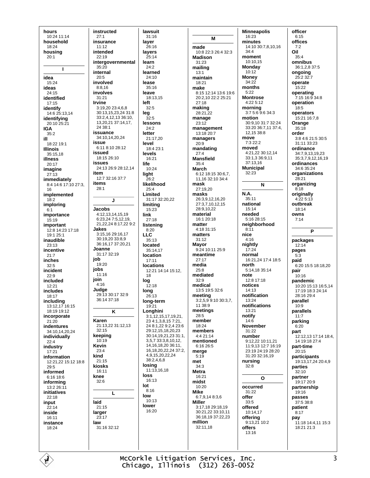hours 10:24 11:14 household  $18.24$ housing  $20:1$  $\blacksquare$ idea  $15:24$ ideas  $24.15$ identified  $17:15$ identify 14:6 25:13,14 identifying  $20.1025.21$ **IGA**  $35:2$ ill 18:22 19:1 **Illinois** 35:15,18 illness  $20:17$ imagine  $27.13$ immediately 8:4 14:6 17:10 27:3, 16 implemented  $18:2$ imploring  $6:1$ importance  $15:19$ important 12.8 14.23 17.18  $19.125.1$ inaudible  $23.13$ incentive  $21:7$ inches  $32.5$ incident  $22:9$ included  $12.21$ includes 18:17 including 13:12,17 16:15 18:19 19:12 incorporate  $21.20$ indentures 34:10,14,20,24 individually  $22.4$ industry 17:21 information 12:21,22 15:12 18:8 29:5 informed 6:16 18:6 informing 13:2 26:11 initiatives  $22.18$ input  $22:14$ inside  $16:11$ instance  $18.24$ 

instructed  $27:1$ insurance  $11.12$ intended  $22.19$ intergovernmental  $35:20$ internal  $20:5$ involved  $8:8,16$ involves 31:21 **Irvine** 3:19,20 23:4,6,8 30:13.15.23.24 31:8 33:2,4,12,13 36:10, 13,20,21 37:14,17, 24 38:1 issuance 34:10.14.20.24 issue 6:11 8:10 28:12 issued 18:15 26:10 issues 24:13 26:9 28:12.14 item 12:7 32:16 37:7 items  $28:1$ J Jacobs 4.12 13 14 15 19 6.23.24.7.5.12.19 21.22.24 8:17.22 9:2 **Jakes** 3:15,16 29:16,17 30:19,20 33:8,9 36:16.17 37:20.21 Joanne  $31.1732.19$ job  $19.20$ jobs  $11:16$ join  $4.16$ Judae 29:13 30:17 32:9 36:14 37:18 K Karen 21:13,22 31:12,13  $32:15$ keeping 10:19 Kevin  $23.4$ kind  $21.15$ kiosks 16:11 knee  $32:6$ L laid  $21.15$ larger  $23:17$ law 31:16 32:12

lawsuit  $31:16$ laver  $26.16$ lavers  $25.14$ learn  $24:2$ learned  $24.10$ lease 35:16 leave 18:13,15 left  $32:5$ leg  $32:5$ lessons  $24:2$ letter 21:17,20 level 18:4 23:1 levels  $16:21$ life 10:24 liaht  $26.2$ likelihood  $25.1$ Limited 31:17 32:20,22 limiting  $15.23$ link  $27:18$ listening  $8:20$ **LLC**  $35.13$ located 35:14.17 location  $17:11$ **locations** 12:21 14:14 15:12. 18 log  $12:18$ long  $26:13$ long-term  $19:21$ Longhini  $3:1,12,15,17,19,21.$ 23 4:1.3.8.15 7:21. 24 8:1 22 9:2 4 23:6 29:12 15 18 20 23 30:14.19.21.23 31:1. 3,5,7 33:3,8,10,12, 14, 16, 18, 20 36: 11, 16, 18, 20, 22, 24 37: 2, 4,9,15,20,22,24 38:2,4,6,8 losing  $11:13.16.18$ loss 16:13 lot  $8.16$ low  $10.13$ lower  $16:20$ 

M made 10:8 22:3 26:4 32:3 **Madison**  $31.23$ mailing  $13.1$ maintain 18:21 make 8:15 12:14 13:6 19:6 20:2,10 22:2 25:21  $27.18$ making 28:21,22 manage  $23:12$ management 13:18 20:7 managers  $20:9$ mandating  $27.4$ **Mansfield**  $35 - 4$ March 6:12 18:15 30:6,7, 11.16 32:10 34:4 mask  $27.19.20$ masks  $26:3,9,12,16,20$ 27:3,7,10,12,15 28:9,10,22 material  $16.120.18$ matter 4:18 31:15 matters  $31:12$ Mayor 9:24 10:11 25:9 meantime  $27:17$ media  $25.8$ mediated  $32.9$ medical 13:5 19:5 32:6 meeting  $3:2.5.9.9:10.30:3.7$  $11.38.9$ meetings 28:5 member  $18.24$ members 4:4 21:14 mentioned 6:16 26:5 merge  $5:19$ met  $34:3$ **Metra** 16:21 midst 10:20 **Mike** 6:7.9.14 8:3.6 **Miller** 3:17 18 29:18 19 30:21,22 33:10,11 36:18.19 37:22.23 million  $32.1118$ 

**Minneapolis** 16:23 minutes 14:10 30:7.8.10.16  $34.4$ moment 10:10,15 **Monday**  $10.12$ **Money**  $34.22$ months  $5:22$ **Montrose**  $4.22512$ morning  $3:75:69:634:3$ motion 30:9,10 31:7 32:24 33:20 36:7,11 37:4,  $12, 15, 38.8$ move  $7.322.2$ moved 4:21,22 30:12,14 33:1,3 36:9,11 37:13,16 **Municipal**  $32.23$ N N.A. 35:11 national 15:14 needed  $5.1628.15$ neighborhood  $8:11$ nice  $4:16$ nightly  $17.24$ normal 16:21,24 17:4 18:5 north  $5.14$  18 35.14 note  $12.817.18$ notices 14:13 notification  $13.24$ notifications  $13.21$ notify  $14.6$ **November**  $31.22$ number 9:12,22 10:11,21 11:9,13 12:7 16:19 23:19 24:19 28:20 31:20 32:16,19 nursing  $32.8$  $\Omega$ occurred 31:22 offer  $33:5$ offered 10:14.17 offering  $9:13,21$  10:2 offers  $13.16$ 

officer  $6:15$ offices  $7.2$ Oil  $35.4$ omnibus 36:1,2,8 37:5 onaoina  $25.232.7$ operate 15:22 operating 7:15 16:9 34:8 operation 18:5 operators 15:21 16:7.8 Orange  $35:18$ order  $3.84621.530.5$ 31:11 33:23 ordinance 34:7,9,13,19,23 35:3.7.9.12.16.19 ordinances 34:6 35:24 organizations  $28.21$ organizing  $8:18$ originally  $4:225:13$ outbreak 18:14 owns  $7.14$ P packages  $12:14$ pages  $5:3$ paid 6:20 15:5 18:18 20 pair  $10:16$ pandemic 10:20 15:13 16:5 14 17:19 18:3 24:14  $28.16294$ parallel  $10:9$ parallels  $11:7$ parking  $6:20$ part 12:12,13 17:14 18:4, 14 19:18 27:4 part-time  $20.15$ participants 19:13,17,24 20:4,9 parties  $32:10$ partner 19:17 20:9 partnership 19:16 passes  $37.5.38.8$ patient  $8:17$ pay 11:18 14:4,11 15:3  $18.21213$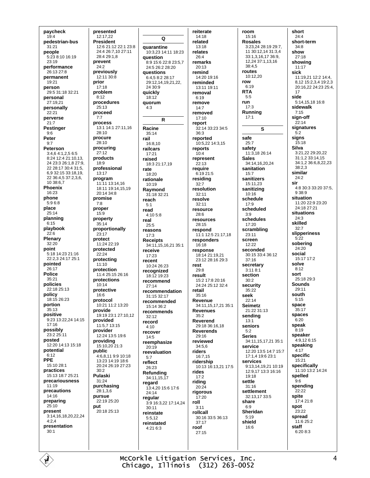paycheck  $19:4$ pedestrian-bus  $31.21$ people 5:23 8:10 16:19  $23.19$ performance 26:13 27:8 permanent  $10.21$ person 29:5 31:18 32:21 personal  $27.1921$ personally  $22.21$ perverse  $21:7$ Pestinger  $Q·6$ Peter  $9:7$ Peterson 3:4,6 4:1,2,5 6:5 8:24 12:4 21:10.13. 24 23:3 26:1 8 27:9 22 28:17 30:4 31:5. 6.9.32:15 33:18.19. 22 36:4,5 37:2,3,6,  $10.3867$ Phoenix 16:23 phone  $5.96.8$ place  $25:14$ planning  $6:15$ playbook  $22.6$ Plenary 32:20 point 5:18 14:23 21:16 22:23 24:17 25:1 pointed  $26.17$ **Police** 35:21 policies  $22.1825.13$ policy 18:15 26:23 portion  $35:13$ positive 9:23 13:22.24 14:15 17:16 possiblv 23:2 25:11 posted 12:20 14:13 15:18 potential  $6:12$ **PPE** 15:10 28:1 practices 15:13 18:7 25:21 precariousness  $11:19$ precautions  $14.16$ preparing  $25:10$ present 3:14,16,18,20,22,24  $4:2.4$ presentation  $30.1$ 

presented 12:17.22 **President** 12:6 21:12 22:1 23:8 24:4 26:7.10 27:11  $28.429.18$ prevent  $24:2$ previously 12:11 30:8 prior  $17:18$ problem  $8:12$ procedures  $25:13$ proceed  $7:7$ process 13:1 14:1 27:11,16  $28.10$ procure  $28:10$ procuring  $27:12$ products  $18.9$ professional  $13:17$ program 11:11 13:14,16 18:11 19:14, 15, 19 20:14 34:8 promise  $7:8$ proper 15:9 property  $35:14$ proportionally 23:17 protect 11:24 22:19 protected  $22.24$ protecting  $11:10$ protection 11:4 25:15 26:16 protections 10:14 protective  $16.6$ protocol 10:21 11:2 13:20 provide 19:19 23:1 27:10,12 provided 11:5.7 13:15 provider 12:24 13:5 19:6 providing 15:10,20 21:3 public  $4.68119.910.18$ 13:23 14:19 18:6  $20.2426.1927.23$  $30.2$ Pulaski 31:24 purchasing  $28.136$ pursue 22:19 25:20 put 20:18 25:13

Q quarantine 10:3,23 14:11 18:23 question 8:9 15:6 22:8 23:5.7 24:5 26:2 28:20 **auestions** 6:4,5 8:2 28:17 29:12.14.19.21.22.  $24.30 - 9$ quickly 18:12 quorum  $4.3$  $\overline{\mathsf{R}}$ Racine  $35.14$ rail 16:8,10 railcars  $17.21$ raised 18:3 21:17.19 rate  $18:20$ rationale  $10:19$ Raymond 31:18 32:21 reach  $5.1$ read  $4.105.8$ real  $25:5$ reasons  $17.3$ **Receipts** 34:11, 15, 16, 21 35:1 receive  $17.23$ recent 10:24 26:23 recognized 18:12 19:23 recommend  $27:14$ recommendation 31:15 32:17 recommended 15:14 36:2 recommends  $32.12$ record  $4:10$ recover  $14.5$ reemphasize  $20:19$ reevaluation  $5.7$ reflect  $26.23$ Refunding 34:11,15,17 regard  $13:4.20$  15:6 17:6  $24.14$ regular 3:9 16:3,22 17:14,24  $30.11$ reinstate  $5:512$ reinstated  $4:216:3$ 

reiterate  $14:18$ related  $13.18$ relates  $26.4$ remarks 20:13 remind  $14.2019.16$ reminded 13:11 19:11 removal  $6:19$ remove  $14:7$ removed  $17:10$ report 32:14 33:23 34:5  $36.3$ reported 10:5,22 14:3,15 reports  $10 - 4$ represent  $22.13$ require 6:19 21:5 residing  $32:7$ resolution  $32:11$ resolve  $32:11$ resource  $28.6$ resources 28:15 respond 11:1 12:5 21:17.18 responders  $16:18$ response 18:14 21:19,21 23:12 28:16 29:3 rest  $29.8$ result 15:2 17:8 20:16 24:24 25:12 32:4 retail  $35.16$ Revenue 34:11,15,17,21 35:1 **Revenues**  $35.2$ **Reverend** 29:18.36:16.18 **Reverends** 29:16 reviewed  $34:5.6$ riders 16:7,15 ridership 10:13 16:13,21 17:5 rides  $17.2$ riding  $20:24$ rigorous  $17.20$ roll  $3:11$ rollcall 30:16 33:5 36:13 37:17 roof  $27.15$ 

room  $15:16$ **Rosales** 3:23.24 28:19 29:7. 11 30:12.14 31:3.4  $33.131617369$ 12.24 37:1.13.16 38:4.5 routes 10:12,20 row  $6.19$ **RTA**  $5.5$ run  $17:3$ Runnina  $17.1$ S safe  $25:7$ safety 11:3,18 26:14 **Sales**  $34.14$  16 20 24 sanitation  $15:7$ sanitizers 15:11.23 sanitizing 10:16 schedule  $17:9$ scheduled  $3.9$ schedules 17:20 scrambling  $23:11$ screen  $12.22$ seconded 30:15 33:4 36:12  $37:16$ secretary  $3.118.1$ section  $30:2$ security 35:22 seek  $22.14$ **Seimetz**  $21.2231.13$ sending  $13.1$ seniors  $5.2$ **Series** 34:11,15,17,21 35:1 service 12:20 13:5 14:7 15:7 17:1,4 19:6 23:1 services 9:13,14,19,21 10:19 12:9,17 13:3 16:16 19:18 settle  $31.16$ settlement 32:13.17 33:5 share  $6:9$ Sheridan  $5.19$ shield  $16.6$ 

short  $24:4$ short-term  $34.8$ show  $27.18$ showing  $11:17$ sick  $11.1921122144$ 8.12 15:2.3.4 19:2.3 20:16,22 24:23 25:4,  $17$ side 5:14,15,18 16:8 sidewalk  $7.15$ sign-off 22:14 signatures sians  $15:18$ Silva 3:21,22 29:20,22 31:1,2 33:14,15 34:1,2 36:6,8,22,23 38:2,3 similar  $24.2$ sir 4:8 30:3 33:20 37:5, 9 38:9 situation 11:20 22:9 23:20 24:18 27:21 situations  $24.3$ skilled  $32:7$ slipperiness  $5.22$ sobering  $24:20$ social 15:17 17:2 solve  $9.12$ sort 25:18 29:3 Sounds  $29.11$ south  $5:15$ space  $35:17$ spaces  $6:20$ speak .<br>8:19 speaker  $4.912615$ speaking  $4:17$ specific  $15:21$ specifically 11:10 13:2 14:24 spelled  $9.6$ spending  $22.22$ spite 17:4 21:8 spot 23:22 spread 11:6 25:2 staff 6:20 8:3